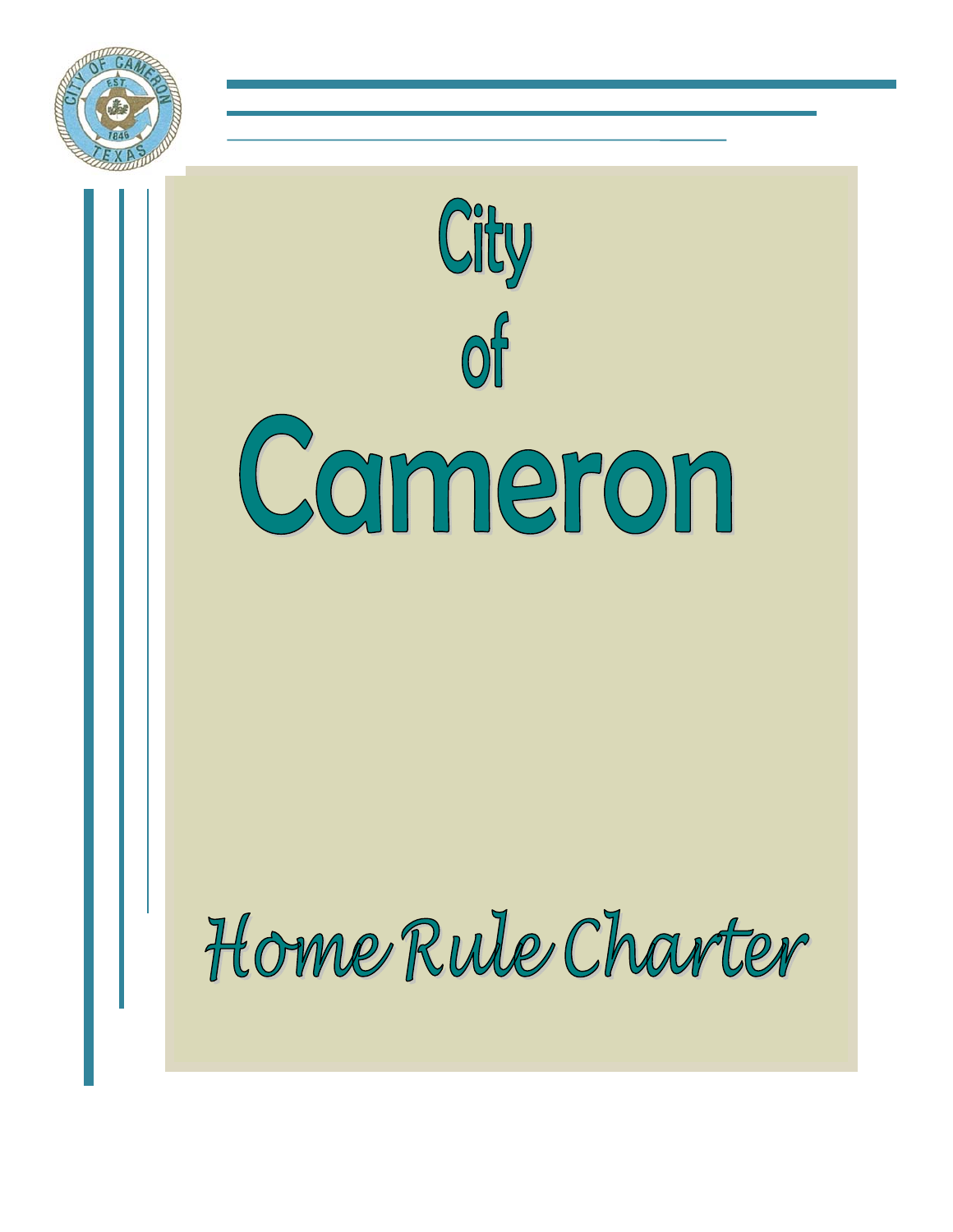

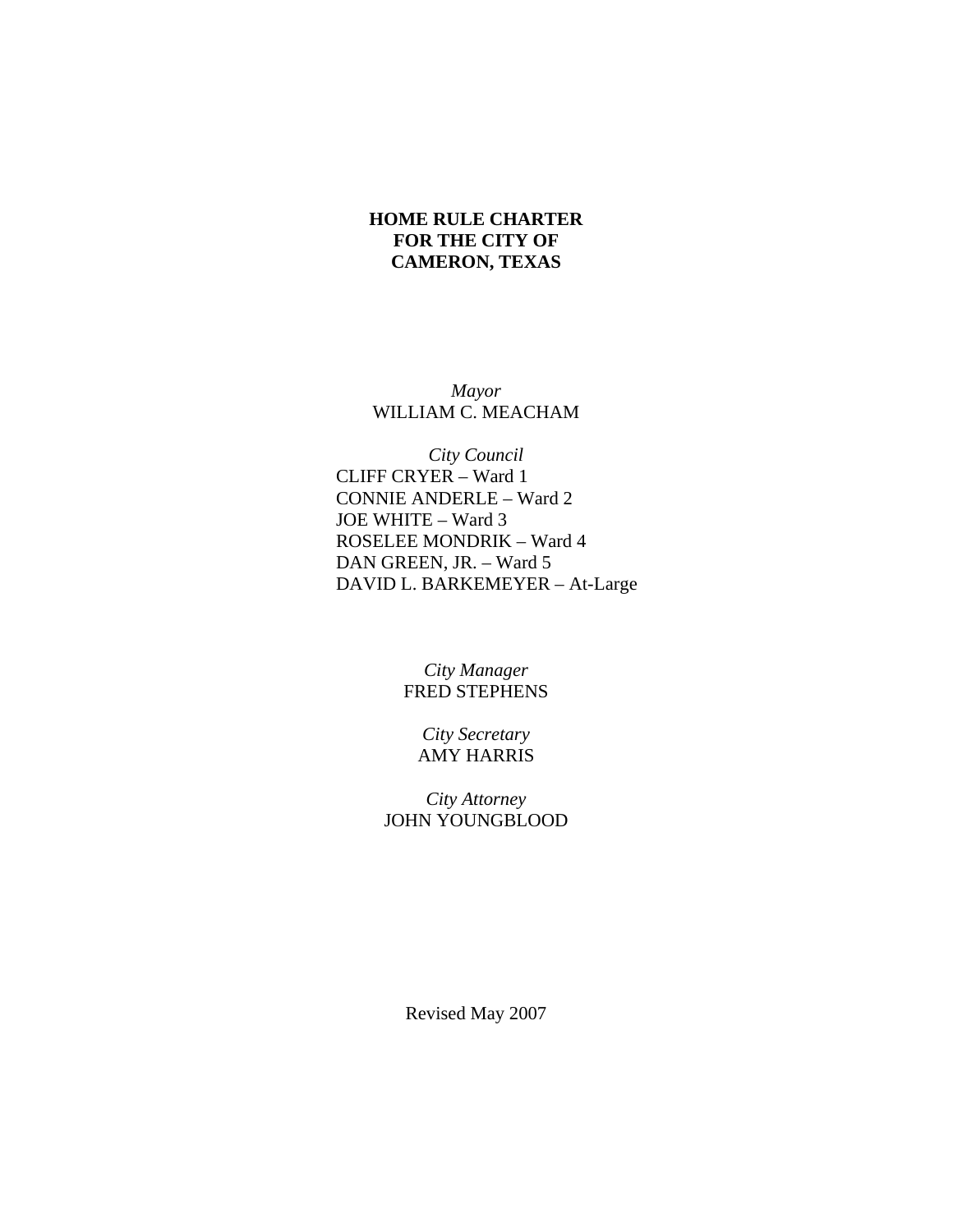# **HOME RULE CHARTER FOR THE CITY OF CAMERON, TEXAS**

*Mayor* WILLIAM C. MEACHAM

*City Council*  CLIFF CRYER – Ward 1 CONNIE ANDERLE – Ward 2 JOE WHITE – Ward 3 ROSELEE MONDRIK – Ward 4 DAN GREEN, JR. – Ward 5 DAVID L. BARKEMEYER – At-Large

> *City Manager*  FRED STEPHENS

*City Secretary*  AMY HARRIS

*City Attorney*  JOHN YOUNGBLOOD

Revised May 2007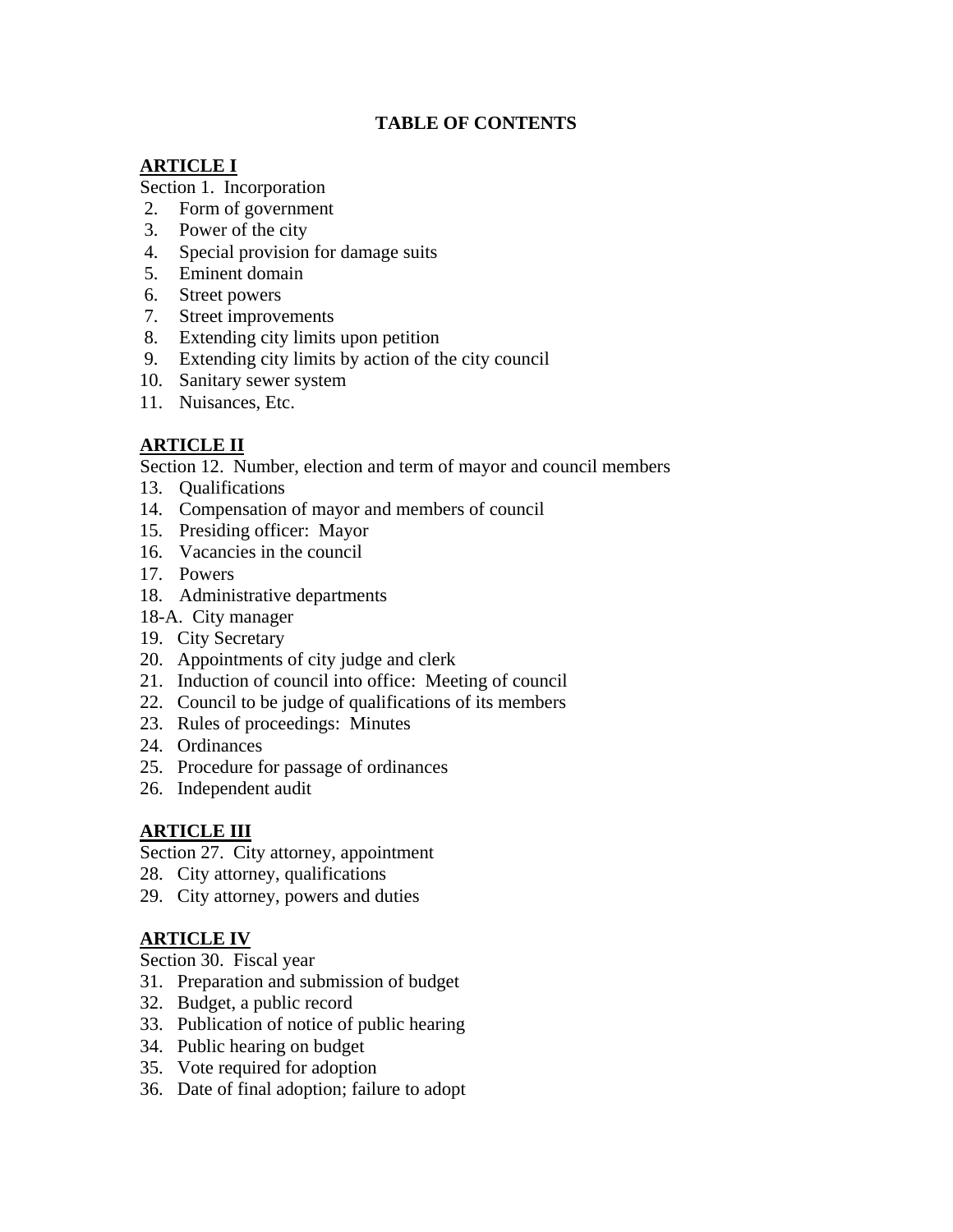# **TABLE OF CONTENTS**

# **ARTICLE I**

Section 1. Incorporation

- 2. Form of government
- 3. Power of the city
- 4. Special provision for damage suits
- 5. Eminent domain
- 6. Street powers
- 7. Street improvements
- 8. Extending city limits upon petition
- 9. Extending city limits by action of the city council
- 10. Sanitary sewer system
- 11. Nuisances, Etc.

# **ARTICLE II**

Section 12. Number, election and term of mayor and council members

- 13. Qualifications
- 14. Compensation of mayor and members of council
- 15. Presiding officer: Mayor
- 16. Vacancies in the council
- 17. Powers
- 18. Administrative departments
- 18-A. City manager
- 19. City Secretary
- 20. Appointments of city judge and clerk
- 21. Induction of council into office: Meeting of council
- 22. Council to be judge of qualifications of its members
- 23. Rules of proceedings: Minutes
- 24. Ordinances
- 25. Procedure for passage of ordinances
- 26. Independent audit

# **ARTICLE III**

Section 27. City attorney, appointment

- 28. City attorney, qualifications
- 29. City attorney, powers and duties

# **ARTICLE IV**

Section 30. Fiscal year

- 31. Preparation and submission of budget
- 32. Budget, a public record
- 33. Publication of notice of public hearing
- 34. Public hearing on budget
- 35. Vote required for adoption
- 36. Date of final adoption; failure to adopt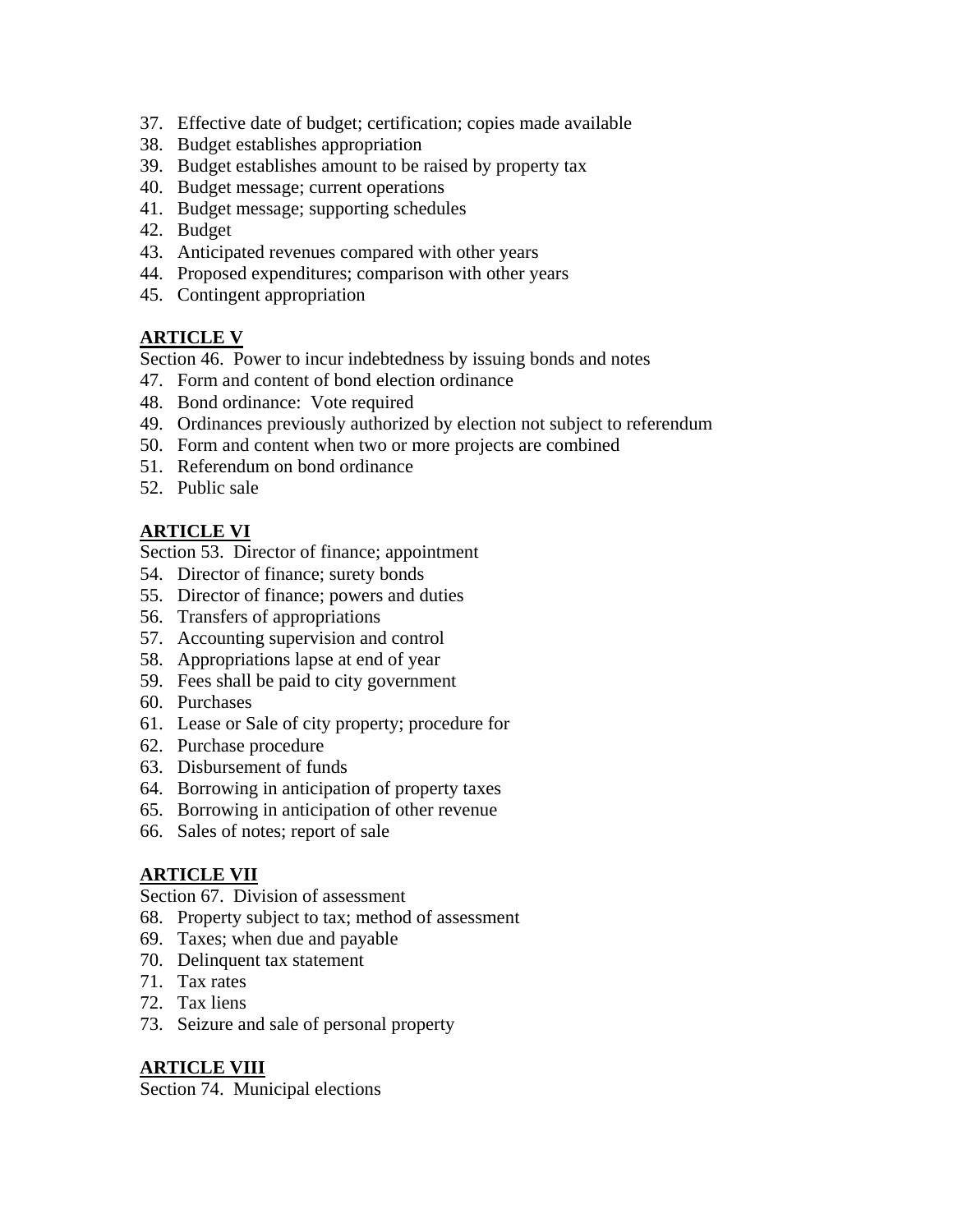- 37. Effective date of budget; certification; copies made available
- 38. Budget establishes appropriation
- 39. Budget establishes amount to be raised by property tax
- 40. Budget message; current operations
- 41. Budget message; supporting schedules
- 42. Budget
- 43. Anticipated revenues compared with other years
- 44. Proposed expenditures; comparison with other years
- 45. Contingent appropriation

# **ARTICLE V**

Section 46. Power to incur indebtedness by issuing bonds and notes

- 47. Form and content of bond election ordinance
- 48. Bond ordinance: Vote required
- 49. Ordinances previously authorized by election not subject to referendum
- 50. Form and content when two or more projects are combined
- 51. Referendum on bond ordinance
- 52. Public sale

# **ARTICLE VI**

Section 53. Director of finance; appointment

- 54. Director of finance; surety bonds
- 55. Director of finance; powers and duties
- 56. Transfers of appropriations
- 57. Accounting supervision and control
- 58. Appropriations lapse at end of year
- 59. Fees shall be paid to city government
- 60. Purchases
- 61. Lease or Sale of city property; procedure for
- 62. Purchase procedure
- 63. Disbursement of funds
- 64. Borrowing in anticipation of property taxes
- 65. Borrowing in anticipation of other revenue
- 66. Sales of notes; report of sale

# **ARTICLE VII**

Section 67. Division of assessment

- 68. Property subject to tax; method of assessment
- 69. Taxes; when due and payable
- 70. Delinquent tax statement
- 71. Tax rates
- 72. Tax liens
- 73. Seizure and sale of personal property

# **ARTICLE VIII**

Section 74. Municipal elections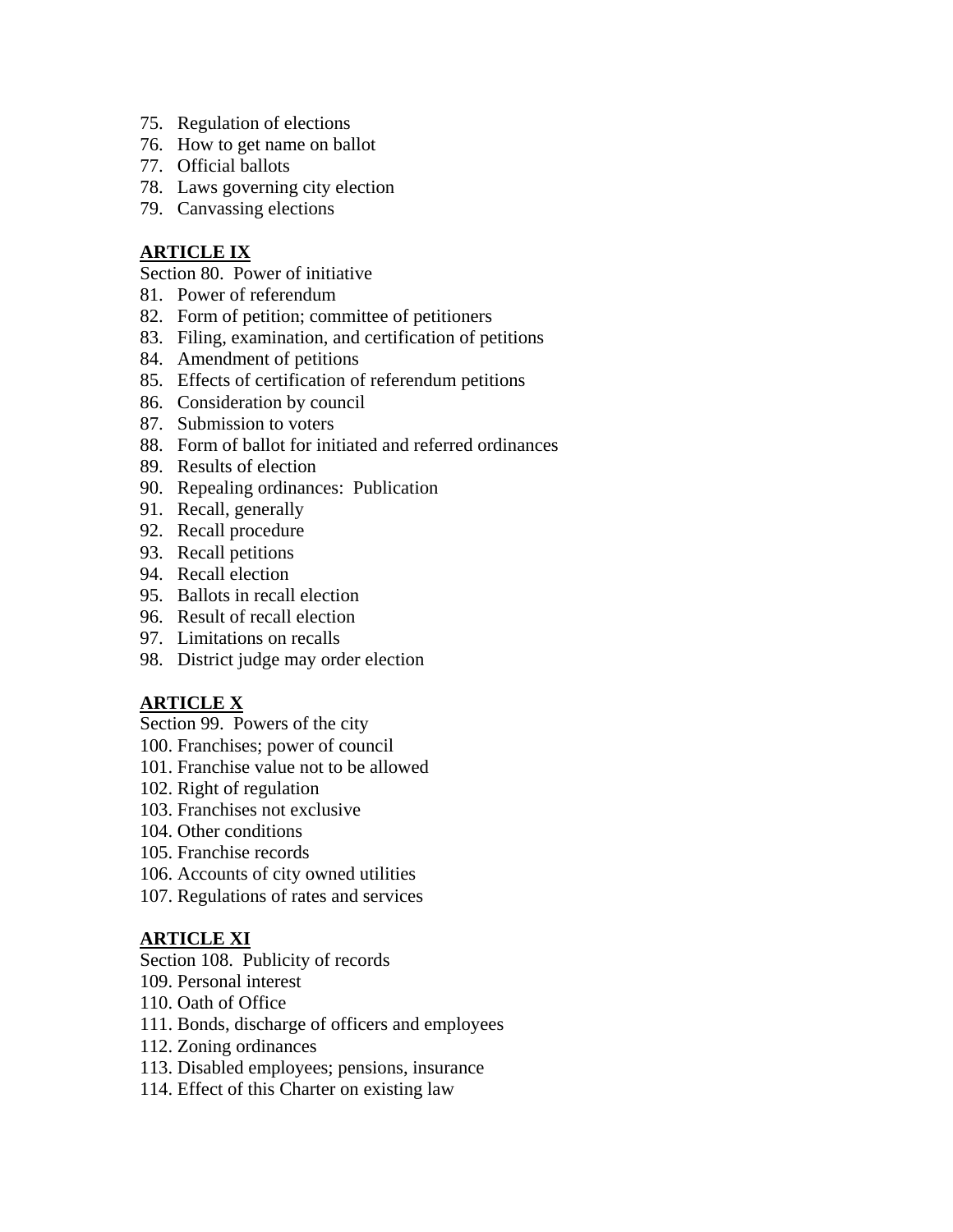- 75. Regulation of elections
- 76. How to get name on ballot
- 77. Official ballots
- 78. Laws governing city election
- 79. Canvassing elections

# **ARTICLE IX**

Section 80. Power of initiative

- 81. Power of referendum
- 82. Form of petition; committee of petitioners
- 83. Filing, examination, and certification of petitions
- 84. Amendment of petitions
- 85. Effects of certification of referendum petitions
- 86. Consideration by council
- 87. Submission to voters
- 88. Form of ballot for initiated and referred ordinances
- 89. Results of election
- 90. Repealing ordinances: Publication
- 91. Recall, generally
- 92. Recall procedure
- 93. Recall petitions
- 94. Recall election
- 95. Ballots in recall election
- 96. Result of recall election
- 97. Limitations on recalls
- 98. District judge may order election

# **ARTICLE X**

Section 99. Powers of the city

- 100. Franchises; power of council
- 101. Franchise value not to be allowed
- 102. Right of regulation
- 103. Franchises not exclusive
- 104. Other conditions
- 105. Franchise records
- 106. Accounts of city owned utilities
- 107. Regulations of rates and services

# **ARTICLE XI**

# Section 108. Publicity of records

- 109. Personal interest
- 110. Oath of Office
- 111. Bonds, discharge of officers and employees
- 112. Zoning ordinances
- 113. Disabled employees; pensions, insurance
- 114. Effect of this Charter on existing law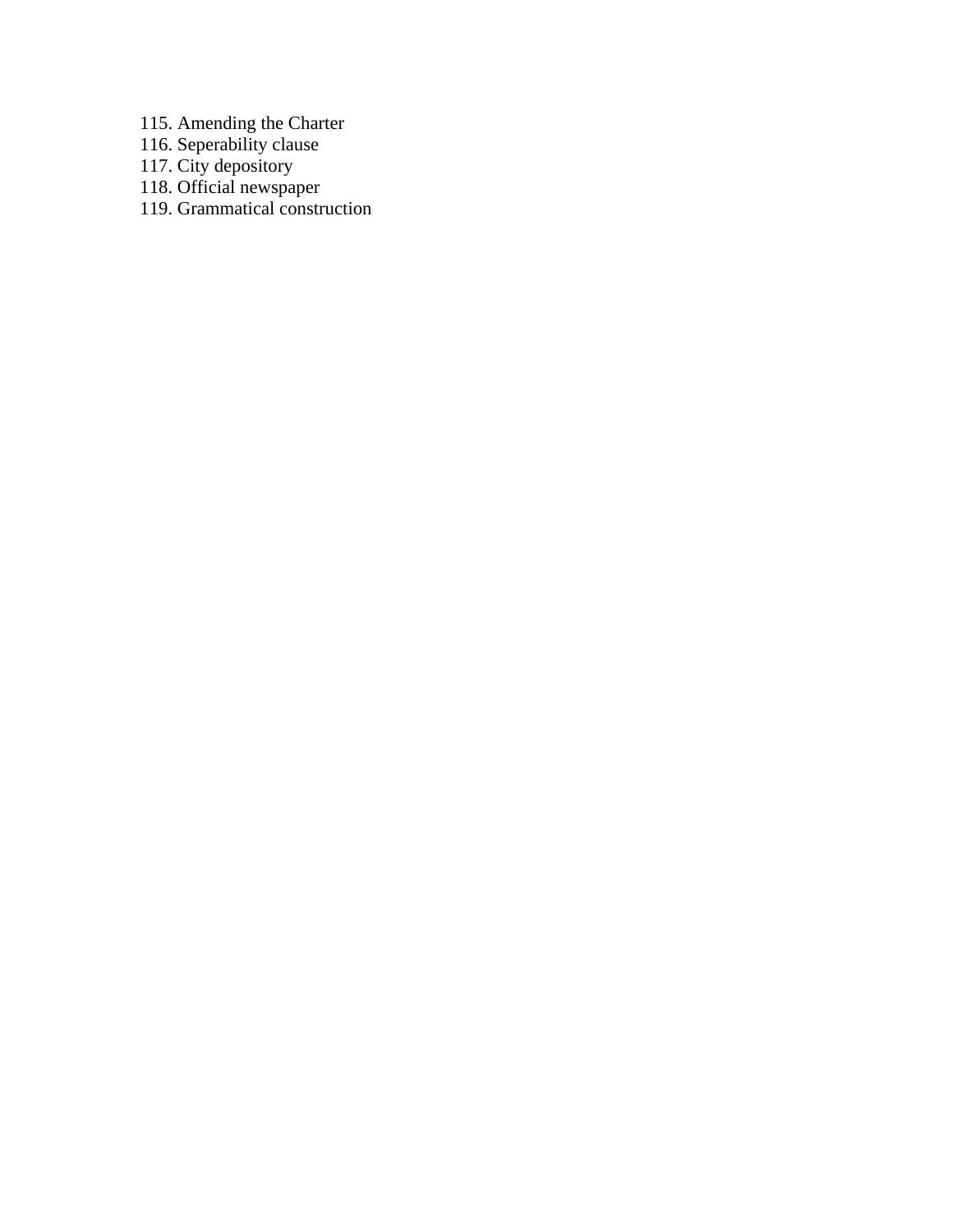115. Amending the Charter

116. Seperability clause

117. City depository

118. Official newspaper

119. Grammatical construction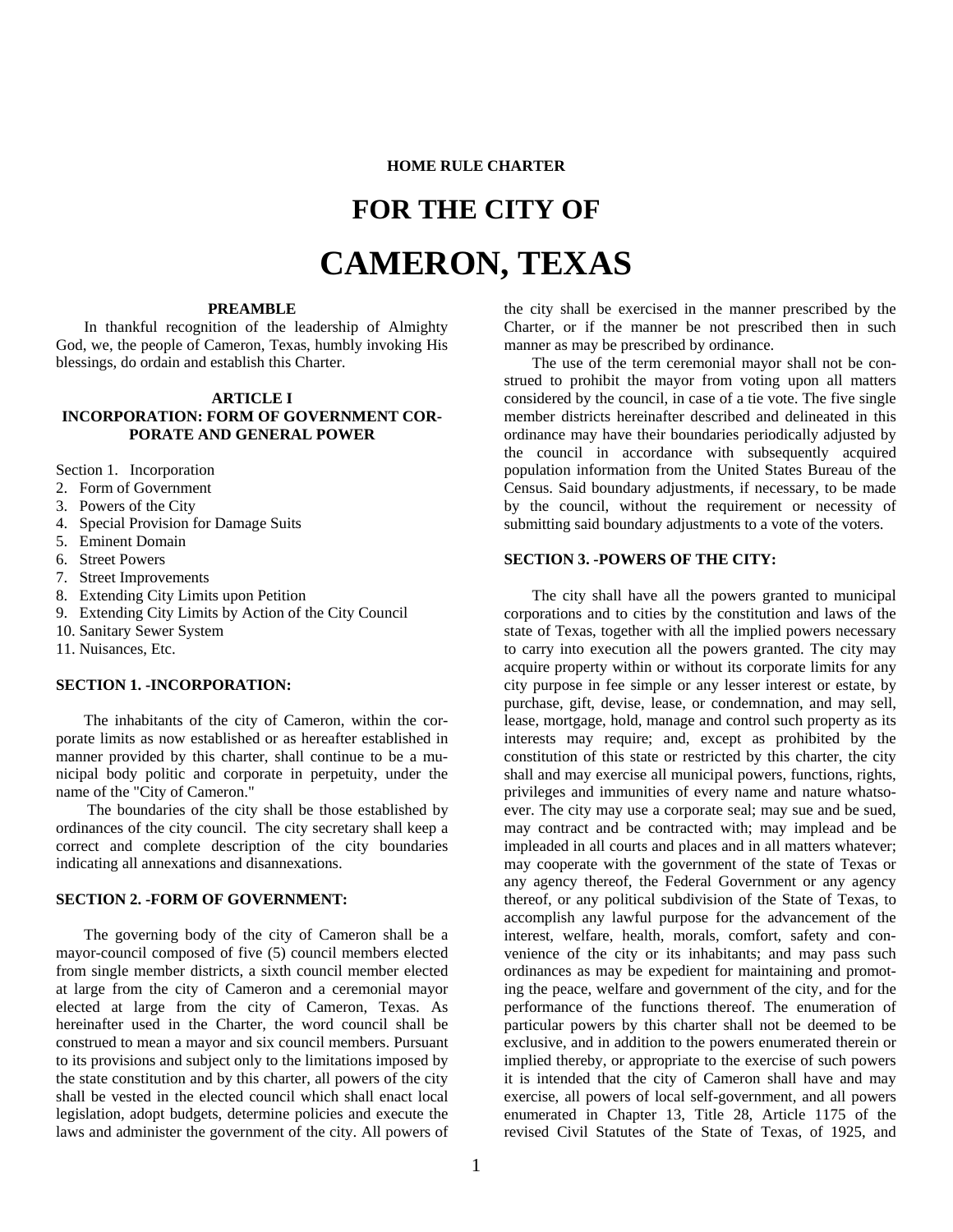#### **HOME RULE CHARTER**

# **FOR THE CITY OF**

# **CAMERON, TEXAS**

#### **PREAMBLE**

In thankful recognition of the leadership of Almighty God, we, the people of Cameron, Texas, humbly invoking His blessings, do ordain and establish this Charter.

#### **ARTICLE I**

#### **INCORPORATION: FORM OF GOVERNMENT COR-PORATE AND GENERAL POWER**

Section 1. Incorporation

- 2. Form of Government
- 3. Powers of the City
- 4. Special Provision for Damage Suits
- 5. Eminent Domain
- 6. Street Powers
- 7. Street Improvements
- 8. Extending City Limits upon Petition
- 9. Extending City Limits by Action of the City Council
- 10. Sanitary Sewer System
- 11. Nuisances, Etc.

#### **SECTION 1. -INCORPORATION:**

The inhabitants of the city of Cameron, within the corporate limits as now established or as hereafter established in manner provided by this charter, shall continue to be a municipal body politic and corporate in perpetuity, under the name of the "City of Cameron."

 The boundaries of the city shall be those established by ordinances of the city council. The city secretary shall keep a correct and complete description of the city boundaries indicating all annexations and disannexations.

#### **SECTION 2. -FORM OF GOVERNMENT:**

The governing body of the city of Cameron shall be a mayor-council composed of five (5) council members elected from single member districts, a sixth council member elected at large from the city of Cameron and a ceremonial mayor elected at large from the city of Cameron, Texas. As hereinafter used in the Charter, the word council shall be construed to mean a mayor and six council members. Pursuant to its provisions and subject only to the limitations imposed by the state constitution and by this charter, all powers of the city shall be vested in the elected council which shall enact local legislation, adopt budgets, determine policies and execute the laws and administer the government of the city. All powers of

the city shall be exercised in the manner prescribed by the Charter, or if the manner be not prescribed then in such manner as may be prescribed by ordinance.

The use of the term ceremonial mayor shall not be construed to prohibit the mayor from voting upon all matters considered by the council, in case of a tie vote. The five single member districts hereinafter described and delineated in this ordinance may have their boundaries periodically adjusted by the council in accordance with subsequently acquired population information from the United States Bureau of the Census. Said boundary adjustments, if necessary, to be made by the council, without the requirement or necessity of submitting said boundary adjustments to a vote of the voters.

#### **SECTION 3. -POWERS OF THE CITY:**

The city shall have all the powers granted to municipal corporations and to cities by the constitution and laws of the state of Texas, together with all the implied powers necessary to carry into execution all the powers granted. The city may acquire property within or without its corporate limits for any city purpose in fee simple or any lesser interest or estate, by purchase, gift, devise, lease, or condemnation, and may sell, lease, mortgage, hold, manage and control such property as its interests may require; and, except as prohibited by the constitution of this state or restricted by this charter, the city shall and may exercise all municipal powers, functions, rights, privileges and immunities of every name and nature whatsoever. The city may use a corporate seal; may sue and be sued, may contract and be contracted with; may implead and be impleaded in all courts and places and in all matters whatever; may cooperate with the government of the state of Texas or any agency thereof, the Federal Government or any agency thereof, or any political subdivision of the State of Texas, to accomplish any lawful purpose for the advancement of the interest, welfare, health, morals, comfort, safety and convenience of the city or its inhabitants; and may pass such ordinances as may be expedient for maintaining and promoting the peace, welfare and government of the city, and for the performance of the functions thereof. The enumeration of particular powers by this charter shall not be deemed to be exclusive, and in addition to the powers enumerated therein or implied thereby, or appropriate to the exercise of such powers it is intended that the city of Cameron shall have and may exercise, all powers of local self-government, and all powers enumerated in Chapter 13, Title 28, Article 1175 of the revised Civil Statutes of the State of Texas, of 1925, and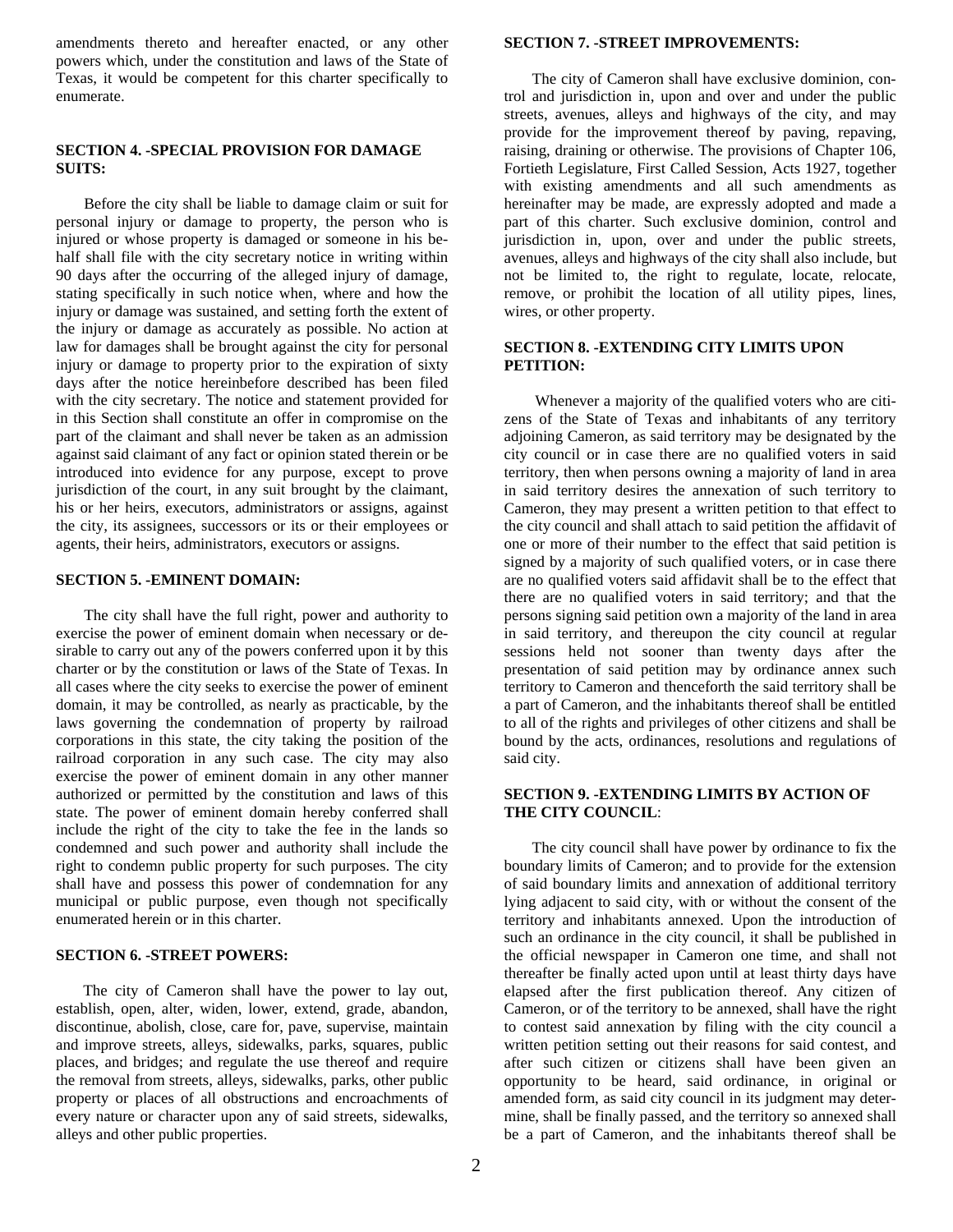amendments thereto and hereafter enacted, or any other powers which, under the constitution and laws of the State of Texas, it would be competent for this charter specifically to enumerate.

#### **SECTION 4. -SPECIAL PROVISION FOR DAMAGE SUITS:**

Before the city shall be liable to damage claim or suit for personal injury or damage to property, the person who is injured or whose property is damaged or someone in his behalf shall file with the city secretary notice in writing within 90 days after the occurring of the alleged injury of damage, stating specifically in such notice when, where and how the injury or damage was sustained, and setting forth the extent of the injury or damage as accurately as possible. No action at law for damages shall be brought against the city for personal injury or damage to property prior to the expiration of sixty days after the notice hereinbefore described has been filed with the city secretary. The notice and statement provided for in this Section shall constitute an offer in compromise on the part of the claimant and shall never be taken as an admission against said claimant of any fact or opinion stated therein or be introduced into evidence for any purpose, except to prove jurisdiction of the court, in any suit brought by the claimant, his or her heirs, executors, administrators or assigns, against the city, its assignees, successors or its or their employees or agents, their heirs, administrators, executors or assigns.

#### **SECTION 5. -EMINENT DOMAIN:**

The city shall have the full right, power and authority to exercise the power of eminent domain when necessary or desirable to carry out any of the powers conferred upon it by this charter or by the constitution or laws of the State of Texas. In all cases where the city seeks to exercise the power of eminent domain, it may be controlled, as nearly as practicable, by the laws governing the condemnation of property by railroad corporations in this state, the city taking the position of the railroad corporation in any such case. The city may also exercise the power of eminent domain in any other manner authorized or permitted by the constitution and laws of this state. The power of eminent domain hereby conferred shall include the right of the city to take the fee in the lands so condemned and such power and authority shall include the right to condemn public property for such purposes. The city shall have and possess this power of condemnation for any municipal or public purpose, even though not specifically enumerated herein or in this charter.

#### **SECTION 6. -STREET POWERS:**

 The city of Cameron shall have the power to lay out, establish, open, alter, widen, lower, extend, grade, abandon, discontinue, abolish, close, care for, pave, supervise, maintain and improve streets, alleys, sidewalks, parks, squares, public places, and bridges; and regulate the use thereof and require the removal from streets, alleys, sidewalks, parks, other public property or places of all obstructions and encroachments of every nature or character upon any of said streets, sidewalks, alleys and other public properties.

#### **SECTION 7. -STREET IMPROVEMENTS:**

The city of Cameron shall have exclusive dominion, control and jurisdiction in, upon and over and under the public streets, avenues, alleys and highways of the city, and may provide for the improvement thereof by paving, repaving, raising, draining or otherwise. The provisions of Chapter 106, Fortieth Legislature, First Called Session, Acts 1927, together with existing amendments and all such amendments as hereinafter may be made, are expressly adopted and made a part of this charter. Such exclusive dominion, control and jurisdiction in, upon, over and under the public streets, avenues, alleys and highways of the city shall also include, but not be limited to, the right to regulate, locate, relocate, remove, or prohibit the location of all utility pipes, lines, wires, or other property.

#### **SECTION 8. -EXTENDING CITY LIMITS UPON PETITION:**

 Whenever a majority of the qualified voters who are citizens of the State of Texas and inhabitants of any territory adjoining Cameron, as said territory may be designated by the city council or in case there are no qualified voters in said territory, then when persons owning a majority of land in area in said territory desires the annexation of such territory to Cameron, they may present a written petition to that effect to the city council and shall attach to said petition the affidavit of one or more of their number to the effect that said petition is signed by a majority of such qualified voters, or in case there are no qualified voters said affidavit shall be to the effect that there are no qualified voters in said territory; and that the persons signing said petition own a majority of the land in area in said territory, and thereupon the city council at regular sessions held not sooner than twenty days after the presentation of said petition may by ordinance annex such territory to Cameron and thenceforth the said territory shall be a part of Cameron, and the inhabitants thereof shall be entitled to all of the rights and privileges of other citizens and shall be bound by the acts, ordinances, resolutions and regulations of said city.

#### **SECTION 9. -EXTENDING LIMITS BY ACTION OF THE CITY COUNCIL**:

The city council shall have power by ordinance to fix the boundary limits of Cameron; and to provide for the extension of said boundary limits and annexation of additional territory lying adjacent to said city, with or without the consent of the territory and inhabitants annexed. Upon the introduction of such an ordinance in the city council, it shall be published in the official newspaper in Cameron one time, and shall not thereafter be finally acted upon until at least thirty days have elapsed after the first publication thereof. Any citizen of Cameron, or of the territory to be annexed, shall have the right to contest said annexation by filing with the city council a written petition setting out their reasons for said contest, and after such citizen or citizens shall have been given an opportunity to be heard, said ordinance, in original or amended form, as said city council in its judgment may determine, shall be finally passed, and the territory so annexed shall be a part of Cameron, and the inhabitants thereof shall be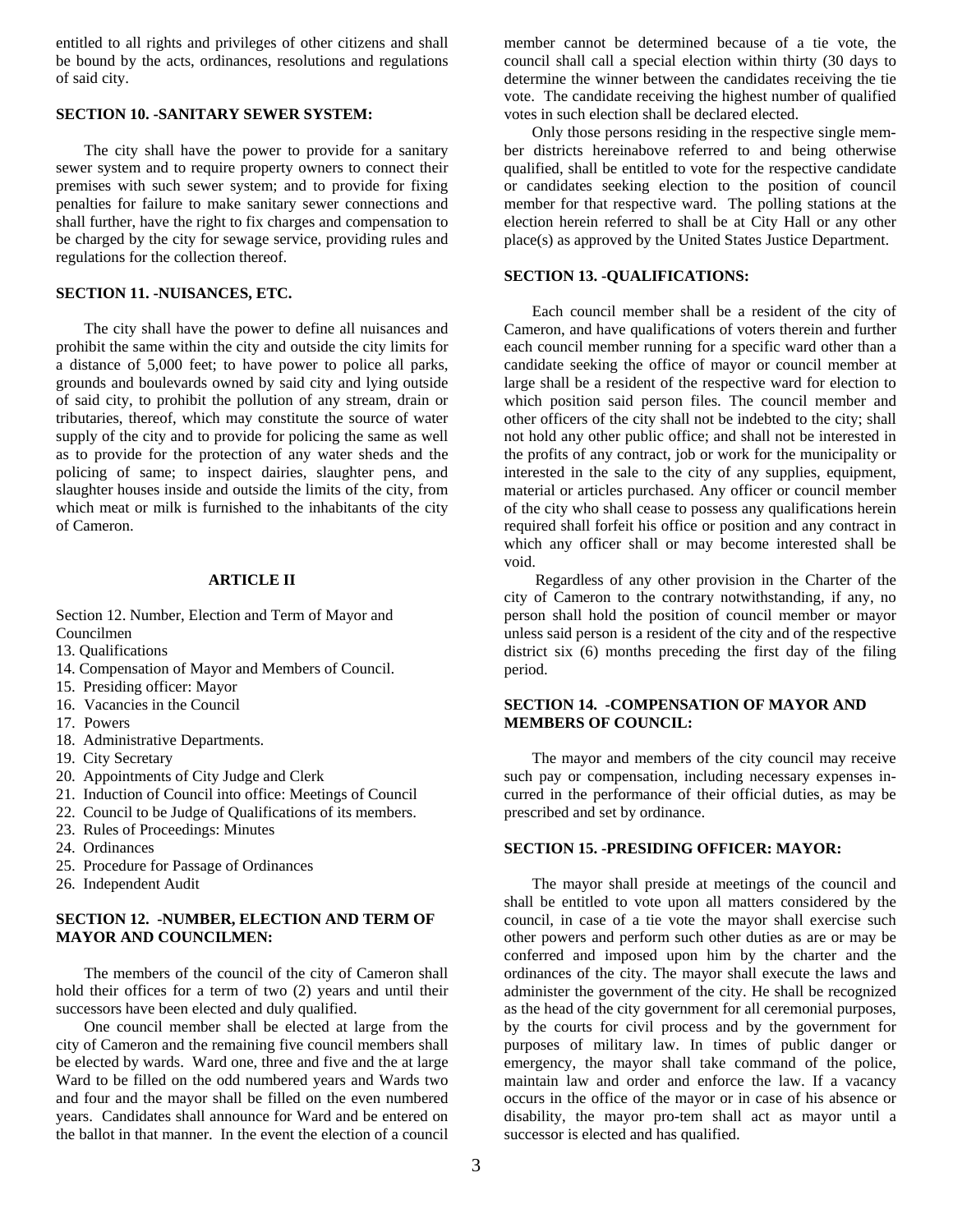entitled to all rights and privileges of other citizens and shall be bound by the acts, ordinances, resolutions and regulations of said city.

#### **SECTION 10. -SANITARY SEWER SYSTEM:**

The city shall have the power to provide for a sanitary sewer system and to require property owners to connect their premises with such sewer system; and to provide for fixing penalties for failure to make sanitary sewer connections and shall further, have the right to fix charges and compensation to be charged by the city for sewage service, providing rules and regulations for the collection thereof.

#### **SECTION 11. -NUISANCES, ETC.**

The city shall have the power to define all nuisances and prohibit the same within the city and outside the city limits for a distance of 5,000 feet; to have power to police all parks, grounds and boulevards owned by said city and lying outside of said city, to prohibit the pollution of any stream, drain or tributaries, thereof, which may constitute the source of water supply of the city and to provide for policing the same as well as to provide for the protection of any water sheds and the policing of same; to inspect dairies, slaughter pens, and slaughter houses inside and outside the limits of the city, from which meat or milk is furnished to the inhabitants of the city of Cameron.

#### **ARTICLE II**

Section 12. Number, Election and Term of Mayor and Councilmen

- 13. Qualifications
- 14. Compensation of Mayor and Members of Council.
- 15. Presiding officer: Mayor
- 16. Vacancies in the Council
- 17. Powers
- 18. Administrative Departments.
- 19. City Secretary
- 20. Appointments of City Judge and Clerk
- 21. Induction of Council into office: Meetings of Council
- 22. Council to be Judge of Qualifications of its members.
- 23. Rules of Proceedings: Minutes
- 24. Ordinances
- 25. Procedure for Passage of Ordinances
- 26. Independent Audit

#### **SECTION 12. -NUMBER, ELECTION AND TERM OF MAYOR AND COUNCILMEN:**

The members of the council of the city of Cameron shall hold their offices for a term of two (2) years and until their successors have been elected and duly qualified.

One council member shall be elected at large from the city of Cameron and the remaining five council members shall be elected by wards. Ward one, three and five and the at large Ward to be filled on the odd numbered years and Wards two and four and the mayor shall be filled on the even numbered years. Candidates shall announce for Ward and be entered on the ballot in that manner. In the event the election of a council member cannot be determined because of a tie vote, the council shall call a special election within thirty (30 days to determine the winner between the candidates receiving the tie vote. The candidate receiving the highest number of qualified votes in such election shall be declared elected.

Only those persons residing in the respective single member districts hereinabove referred to and being otherwise qualified, shall be entitled to vote for the respective candidate or candidates seeking election to the position of council member for that respective ward. The polling stations at the election herein referred to shall be at City Hall or any other place(s) as approved by the United States Justice Department.

#### **SECTION 13. -QUALIFICATIONS:**

Each council member shall be a resident of the city of Cameron, and have qualifications of voters therein and further each council member running for a specific ward other than a candidate seeking the office of mayor or council member at large shall be a resident of the respective ward for election to which position said person files. The council member and other officers of the city shall not be indebted to the city; shall not hold any other public office; and shall not be interested in the profits of any contract, job or work for the municipality or interested in the sale to the city of any supplies, equipment, material or articles purchased. Any officer or council member of the city who shall cease to possess any qualifications herein required shall forfeit his office or position and any contract in which any officer shall or may become interested shall be void.

 Regardless of any other provision in the Charter of the city of Cameron to the contrary notwithstanding, if any, no person shall hold the position of council member or mayor unless said person is a resident of the city and of the respective district six (6) months preceding the first day of the filing period.

#### **SECTION 14. -COMPENSATION OF MAYOR AND MEMBERS OF COUNCIL:**

The mayor and members of the city council may receive such pay or compensation, including necessary expenses incurred in the performance of their official duties, as may be prescribed and set by ordinance.

#### **SECTION 15. -PRESIDING OFFICER: MAYOR:**

The mayor shall preside at meetings of the council and shall be entitled to vote upon all matters considered by the council, in case of a tie vote the mayor shall exercise such other powers and perform such other duties as are or may be conferred and imposed upon him by the charter and the ordinances of the city. The mayor shall execute the laws and administer the government of the city. He shall be recognized as the head of the city government for all ceremonial purposes, by the courts for civil process and by the government for purposes of military law. In times of public danger or emergency, the mayor shall take command of the police, maintain law and order and enforce the law. If a vacancy occurs in the office of the mayor or in case of his absence or disability, the mayor pro-tem shall act as mayor until a successor is elected and has qualified.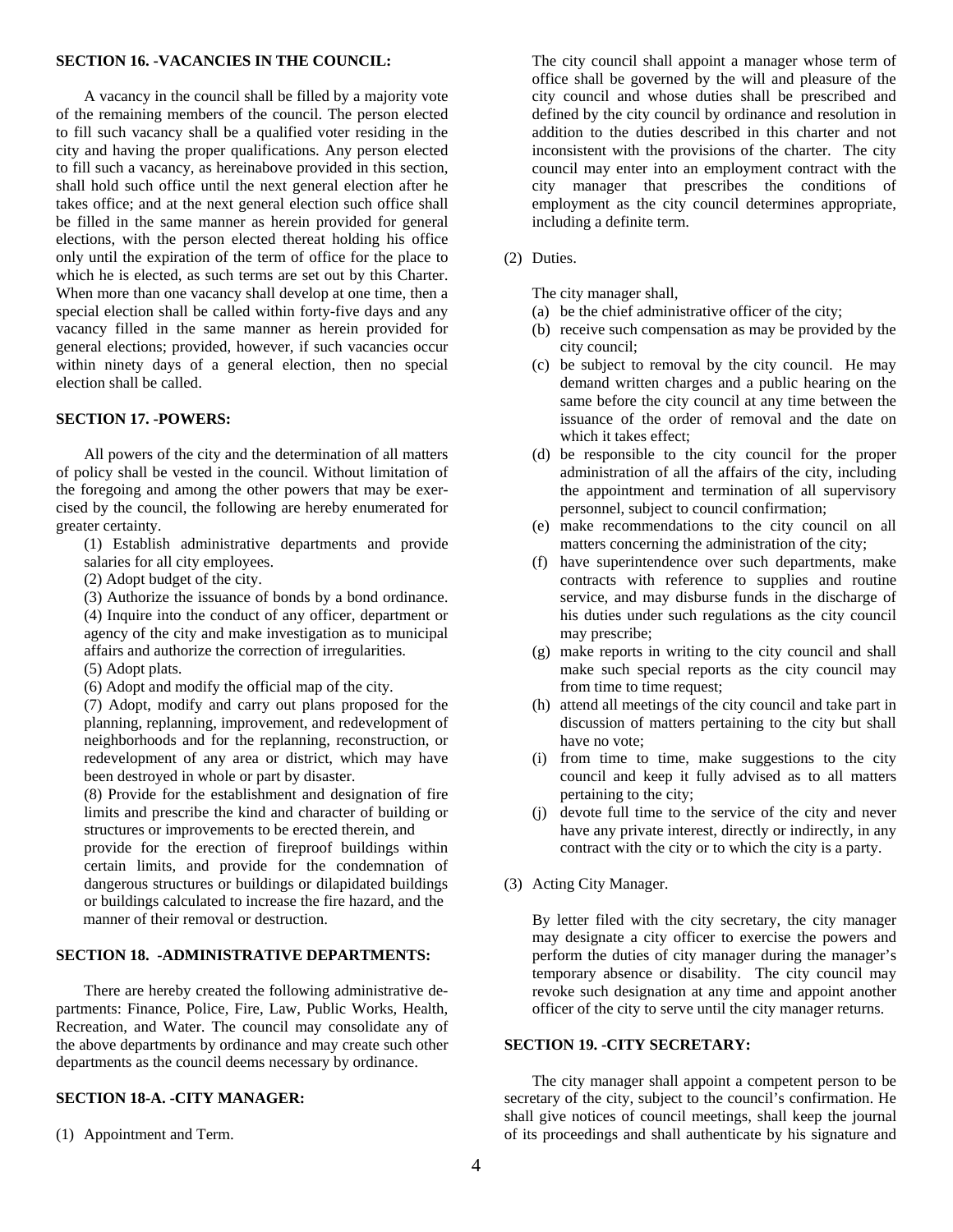#### **SECTION 16. -VACANCIES IN THE COUNCIL:**

A vacancy in the council shall be filled by a majority vote of the remaining members of the council. The person elected to fill such vacancy shall be a qualified voter residing in the city and having the proper qualifications. Any person elected to fill such a vacancy, as hereinabove provided in this section, shall hold such office until the next general election after he takes office; and at the next general election such office shall be filled in the same manner as herein provided for general elections, with the person elected thereat holding his office only until the expiration of the term of office for the place to which he is elected, as such terms are set out by this Charter. When more than one vacancy shall develop at one time, then a special election shall be called within forty-five days and any vacancy filled in the same manner as herein provided for general elections; provided, however, if such vacancies occur within ninety days of a general election, then no special election shall be called.

#### **SECTION 17. -POWERS:**

All powers of the city and the determination of all matters of policy shall be vested in the council. Without limitation of the foregoing and among the other powers that may be exercised by the council, the following are hereby enumerated for greater certainty.

(1) Establish administrative departments and provide salaries for all city employees.

- (2) Adopt budget of the city.
- (3) Authorize the issuance of bonds by a bond ordinance.

(4) Inquire into the conduct of any officer, department or agency of the city and make investigation as to municipal affairs and authorize the correction of irregularities.

- (5) Adopt plats.
- (6) Adopt and modify the official map of the city.

(7) Adopt, modify and carry out plans proposed for the planning, replanning, improvement, and redevelopment of neighborhoods and for the replanning, reconstruction, or redevelopment of any area or district, which may have been destroyed in whole or part by disaster.

(8) Provide for the establishment and designation of fire limits and prescribe the kind and character of building or structures or improvements to be erected therein, and

provide for the erection of fireproof buildings within certain limits, and provide for the condemnation of dangerous structures or buildings or dilapidated buildings or buildings calculated to increase the fire hazard, and the manner of their removal or destruction.

#### **SECTION 18. -ADMINISTRATIVE DEPARTMENTS:**

There are hereby created the following administrative departments: Finance, Police, Fire, Law, Public Works, Health, Recreation, and Water. The council may consolidate any of the above departments by ordinance and may create such other departments as the council deems necessary by ordinance.

#### **SECTION 18-A. -CITY MANAGER:**

(1) Appointment and Term.

The city council shall appoint a manager whose term of office shall be governed by the will and pleasure of the city council and whose duties shall be prescribed and defined by the city council by ordinance and resolution in addition to the duties described in this charter and not inconsistent with the provisions of the charter. The city council may enter into an employment contract with the city manager that prescribes the conditions of employment as the city council determines appropriate, including a definite term.

(2) Duties.

The city manager shall,

- (a) be the chief administrative officer of the city;
- (b) receive such compensation as may be provided by the city council;
- (c) be subject to removal by the city council. He may demand written charges and a public hearing on the same before the city council at any time between the issuance of the order of removal and the date on which it takes effect;
- (d) be responsible to the city council for the proper administration of all the affairs of the city, including the appointment and termination of all supervisory personnel, subject to council confirmation;
- (e) make recommendations to the city council on all matters concerning the administration of the city;
- (f) have superintendence over such departments, make contracts with reference to supplies and routine service, and may disburse funds in the discharge of his duties under such regulations as the city council may prescribe;
- (g) make reports in writing to the city council and shall make such special reports as the city council may from time to time request;
- (h) attend all meetings of the city council and take part in discussion of matters pertaining to the city but shall have no vote;
- (i) from time to time, make suggestions to the city council and keep it fully advised as to all matters pertaining to the city;
- (j) devote full time to the service of the city and never have any private interest, directly or indirectly, in any contract with the city or to which the city is a party.
- (3) Acting City Manager.

By letter filed with the city secretary, the city manager may designate a city officer to exercise the powers and perform the duties of city manager during the manager's temporary absence or disability. The city council may revoke such designation at any time and appoint another officer of the city to serve until the city manager returns.

#### **SECTION 19. -CITY SECRETARY:**

The city manager shall appoint a competent person to be secretary of the city, subject to the council's confirmation. He shall give notices of council meetings, shall keep the journal of its proceedings and shall authenticate by his signature and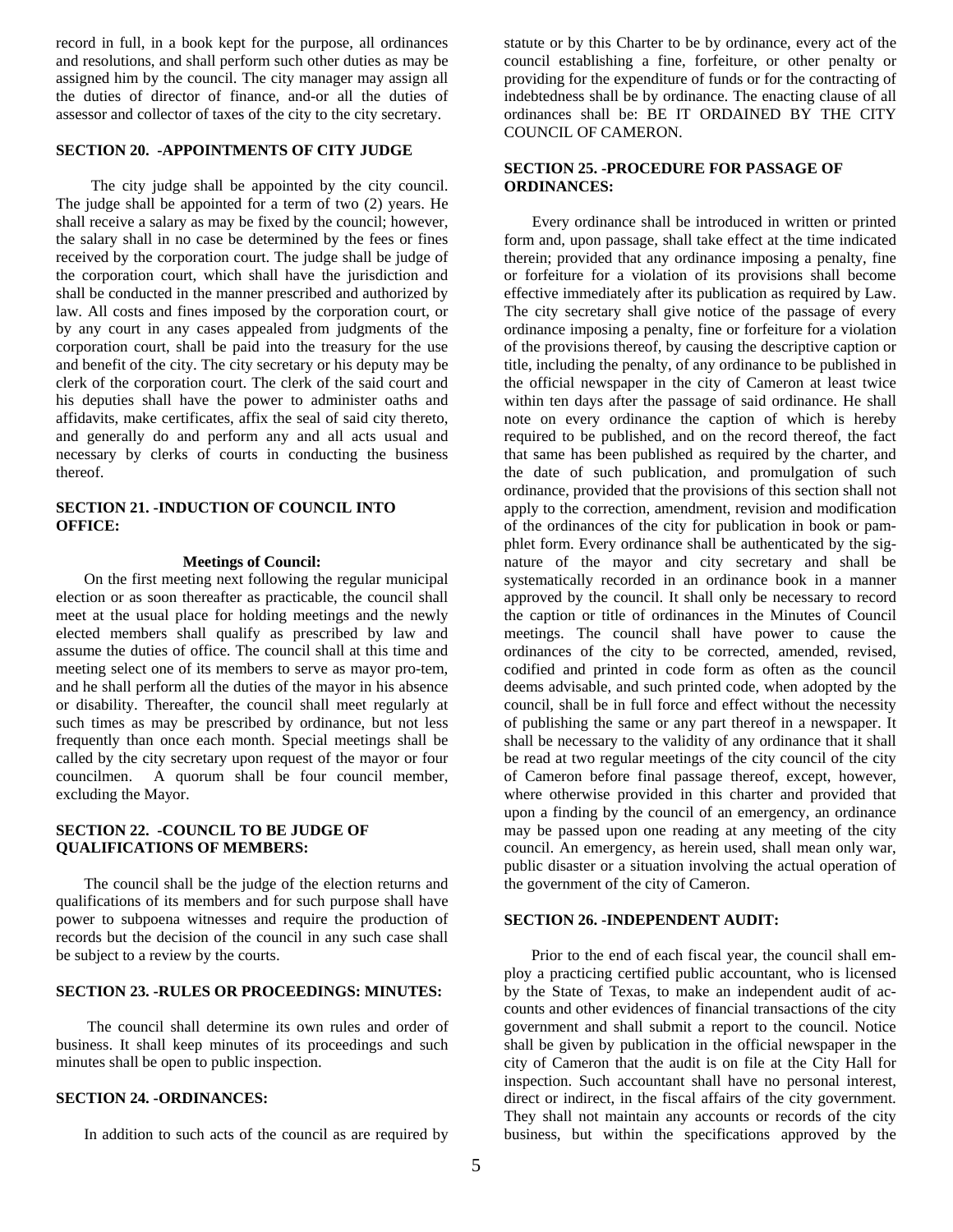record in full, in a book kept for the purpose, all ordinances and resolutions, and shall perform such other duties as may be assigned him by the council. The city manager may assign all the duties of director of finance, and-or all the duties of assessor and collector of taxes of the city to the city secretary.

#### **SECTION 20. -APPOINTMENTS OF CITY JUDGE**

 The city judge shall be appointed by the city council. The judge shall be appointed for a term of two (2) years. He shall receive a salary as may be fixed by the council; however, the salary shall in no case be determined by the fees or fines received by the corporation court. The judge shall be judge of the corporation court, which shall have the jurisdiction and shall be conducted in the manner prescribed and authorized by law. All costs and fines imposed by the corporation court, or by any court in any cases appealed from judgments of the corporation court, shall be paid into the treasury for the use and benefit of the city. The city secretary or his deputy may be clerk of the corporation court. The clerk of the said court and his deputies shall have the power to administer oaths and affidavits, make certificates, affix the seal of said city thereto, and generally do and perform any and all acts usual and necessary by clerks of courts in conducting the business thereof.

#### **SECTION 21. -INDUCTION OF COUNCIL INTO OFFICE:**

#### **Meetings of Council:**

On the first meeting next following the regular municipal election or as soon thereafter as practicable, the council shall meet at the usual place for holding meetings and the newly elected members shall qualify as prescribed by law and assume the duties of office. The council shall at this time and meeting select one of its members to serve as mayor pro-tem, and he shall perform all the duties of the mayor in his absence or disability. Thereafter, the council shall meet regularly at such times as may be prescribed by ordinance, but not less frequently than once each month. Special meetings shall be called by the city secretary upon request of the mayor or four councilmen. A quorum shall be four council member, excluding the Mayor.

#### **SECTION 22. -COUNCIL TO BE JUDGE OF QUALIFICATIONS OF MEMBERS:**

The council shall be the judge of the election returns and qualifications of its members and for such purpose shall have power to subpoena witnesses and require the production of records but the decision of the council in any such case shall be subject to a review by the courts.

#### **SECTION 23. -RULES OR PROCEEDINGS: MINUTES:**

 The council shall determine its own rules and order of business. It shall keep minutes of its proceedings and such minutes shall be open to public inspection.

#### **SECTION 24. -ORDINANCES:**

In addition to such acts of the council as are required by

statute or by this Charter to be by ordinance, every act of the council establishing a fine, forfeiture, or other penalty or providing for the expenditure of funds or for the contracting of indebtedness shall be by ordinance. The enacting clause of all ordinances shall be: BE IT ORDAINED BY THE CITY COUNCIL OF CAMERON.

#### **SECTION 25. -PROCEDURE FOR PASSAGE OF ORDINANCES:**

Every ordinance shall be introduced in written or printed form and, upon passage, shall take effect at the time indicated therein; provided that any ordinance imposing a penalty, fine or forfeiture for a violation of its provisions shall become effective immediately after its publication as required by Law. The city secretary shall give notice of the passage of every ordinance imposing a penalty, fine or forfeiture for a violation of the provisions thereof, by causing the descriptive caption or title, including the penalty, of any ordinance to be published in the official newspaper in the city of Cameron at least twice within ten days after the passage of said ordinance. He shall note on every ordinance the caption of which is hereby required to be published, and on the record thereof, the fact that same has been published as required by the charter, and the date of such publication, and promulgation of such ordinance, provided that the provisions of this section shall not apply to the correction, amendment, revision and modification of the ordinances of the city for publication in book or pamphlet form. Every ordinance shall be authenticated by the signature of the mayor and city secretary and shall be systematically recorded in an ordinance book in a manner approved by the council. It shall only be necessary to record the caption or title of ordinances in the Minutes of Council meetings. The council shall have power to cause the ordinances of the city to be corrected, amended, revised, codified and printed in code form as often as the council deems advisable, and such printed code, when adopted by the council, shall be in full force and effect without the necessity of publishing the same or any part thereof in a newspaper. It shall be necessary to the validity of any ordinance that it shall be read at two regular meetings of the city council of the city of Cameron before final passage thereof, except, however, where otherwise provided in this charter and provided that upon a finding by the council of an emergency, an ordinance may be passed upon one reading at any meeting of the city council. An emergency, as herein used, shall mean only war, public disaster or a situation involving the actual operation of the government of the city of Cameron.

#### **SECTION 26. -INDEPENDENT AUDIT:**

 Prior to the end of each fiscal year, the council shall employ a practicing certified public accountant, who is licensed by the State of Texas, to make an independent audit of accounts and other evidences of financial transactions of the city government and shall submit a report to the council. Notice shall be given by publication in the official newspaper in the city of Cameron that the audit is on file at the City Hall for inspection. Such accountant shall have no personal interest, direct or indirect, in the fiscal affairs of the city government. They shall not maintain any accounts or records of the city business, but within the specifications approved by the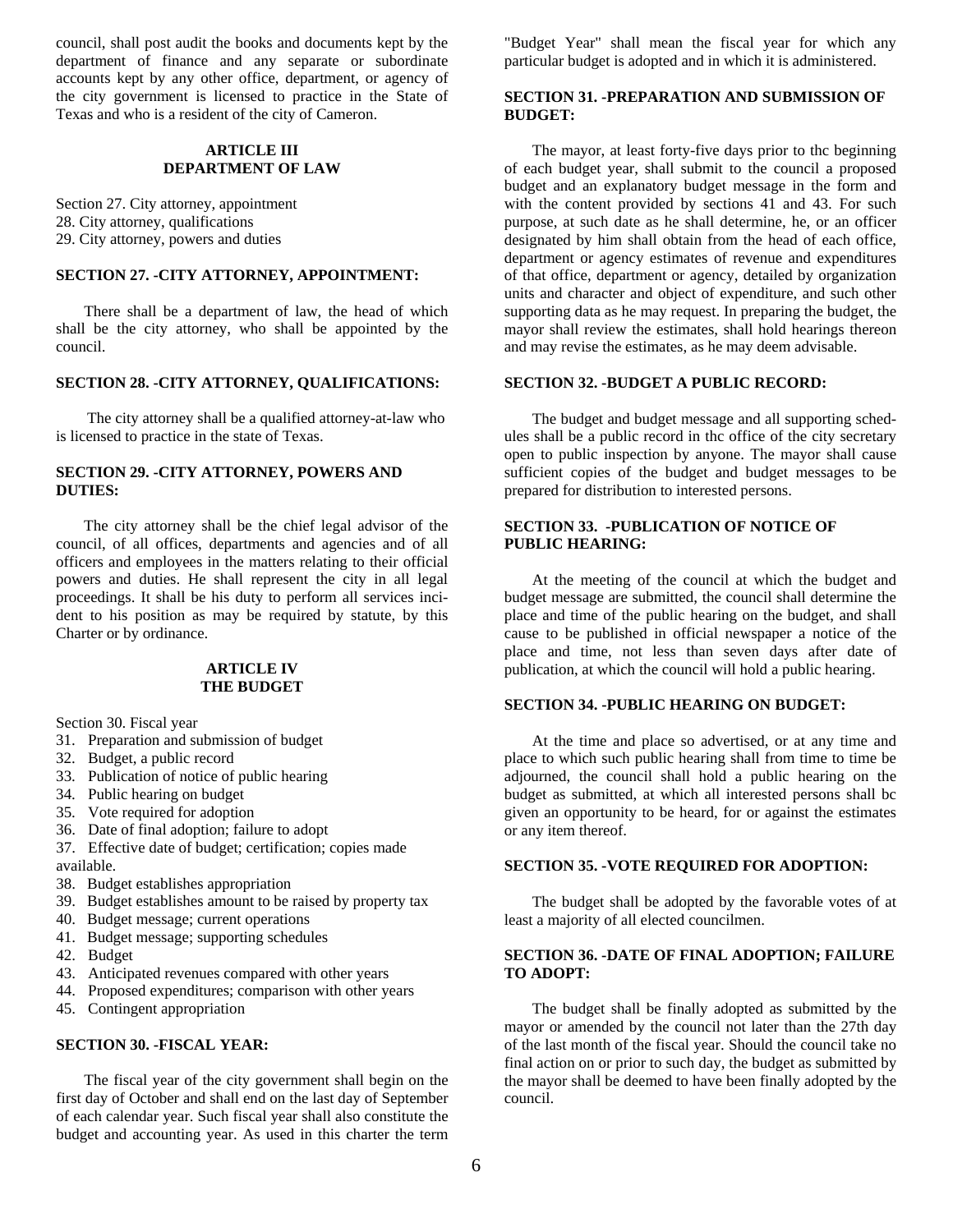council, shall post audit the books and documents kept by the department of finance and any separate or subordinate accounts kept by any other office, department, or agency of the city government is licensed to practice in the State of Texas and who is a resident of the city of Cameron.

#### **ARTICLE III DEPARTMENT OF LAW**

Section 27. City attorney, appointment 28. City attorney, qualifications 29. City attorney, powers and duties

#### **SECTION 27. -CITY ATTORNEY, APPOINTMENT:**

There shall be a department of law, the head of which shall be the city attorney, who shall be appointed by the council.

#### **SECTION 28. -CITY ATTORNEY, QUALIFICATIONS:**

 The city attorney shall be a qualified attorney-at-law who is licensed to practice in the state of Texas.

#### **SECTION 29. -CITY ATTORNEY, POWERS AND DUTIES:**

The city attorney shall be the chief legal advisor of the council, of all offices, departments and agencies and of all officers and employees in the matters relating to their official powers and duties. He shall represent the city in all legal proceedings. It shall be his duty to perform all services incident to his position as may be required by statute, by this Charter or by ordinance.

#### **ARTICLE IV THE BUDGET**

Section 30. Fiscal year

- 31. Preparation and submission of budget
- 32. Budget, a public record
- 33. Publication of notice of public hearing
- 34. Public hearing on budget
- 35. Vote required for adoption
- 36. Date of final adoption; failure to adopt
- 37. Effective date of budget; certification; copies made available.
- 38. Budget establishes appropriation
- 39. Budget establishes amount to be raised by property tax
- 40. Budget message; current operations
- 41. Budget message; supporting schedules
- 42. Budget
- 43. Anticipated revenues compared with other years
- 44. Proposed expenditures; comparison with other years
- 45. Contingent appropriation

#### **SECTION 30. -FISCAL YEAR:**

The fiscal year of the city government shall begin on the first day of October and shall end on the last day of September of each calendar year. Such fiscal year shall also constitute the budget and accounting year. As used in this charter the term "Budget Year" shall mean the fiscal year for which any particular budget is adopted and in which it is administered.

#### **SECTION 31. -PREPARATION AND SUBMISSION OF BUDGET:**

The mayor, at least forty-five days prior to thc beginning of each budget year, shall submit to the council a proposed budget and an explanatory budget message in the form and with the content provided by sections 41 and 43. For such purpose, at such date as he shall determine, he, or an officer designated by him shall obtain from the head of each office, department or agency estimates of revenue and expenditures of that office, department or agency, detailed by organization units and character and object of expenditure, and such other supporting data as he may request. In preparing the budget, the mayor shall review the estimates, shall hold hearings thereon and may revise the estimates, as he may deem advisable.

#### **SECTION 32. -BUDGET A PUBLIC RECORD:**

The budget and budget message and all supporting schedules shall be a public record in thc office of the city secretary open to public inspection by anyone. The mayor shall cause sufficient copies of the budget and budget messages to be prepared for distribution to interested persons.

#### **SECTION 33. -PUBLICATION OF NOTICE OF PUBLIC HEARING:**

At the meeting of the council at which the budget and budget message are submitted, the council shall determine the place and time of the public hearing on the budget, and shall cause to be published in official newspaper a notice of the place and time, not less than seven days after date of publication, at which the council will hold a public hearing.

#### **SECTION 34. -PUBLIC HEARING ON BUDGET:**

At the time and place so advertised, or at any time and place to which such public hearing shall from time to time be adjourned, the council shall hold a public hearing on the budget as submitted, at which all interested persons shall bc given an opportunity to be heard, for or against the estimates or any item thereof.

#### **SECTION 35. -VOTE REQUIRED FOR ADOPTION:**

The budget shall be adopted by the favorable votes of at least a majority of all elected councilmen.

#### **SECTION 36. -DATE OF FINAL ADOPTION; FAILURE TO ADOPT:**

The budget shall be finally adopted as submitted by the mayor or amended by the council not later than the 27th day of the last month of the fiscal year. Should the council take no final action on or prior to such day, the budget as submitted by the mayor shall be deemed to have been finally adopted by the council.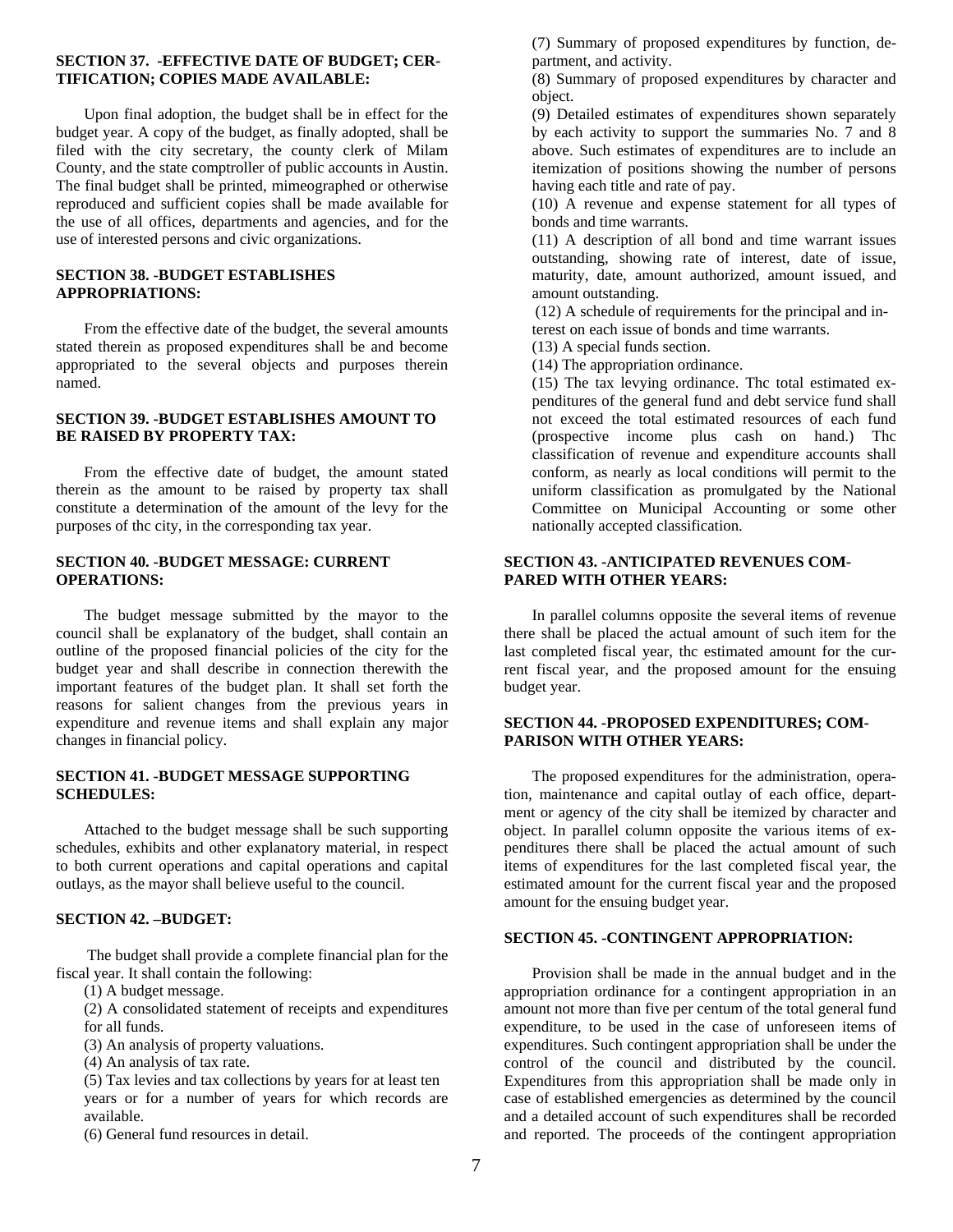#### **SECTION 37. -EFFECTIVE DATE OF BUDGET; CER-TIFICATION; COPIES MADE AVAILABLE:**

Upon final adoption, the budget shall be in effect for the budget year. A copy of the budget, as finally adopted, shall be filed with the city secretary, the county clerk of Milam County, and the state comptroller of public accounts in Austin. The final budget shall be printed, mimeographed or otherwise reproduced and sufficient copies shall be made available for the use of all offices, departments and agencies, and for the use of interested persons and civic organizations.

#### **SECTION 38. -BUDGET ESTABLISHES APPROPRIATIONS:**

From the effective date of the budget, the several amounts stated therein as proposed expenditures shall be and become appropriated to the several objects and purposes therein named.

#### **SECTION 39. -BUDGET ESTABLISHES AMOUNT TO BE RAISED BY PROPERTY TAX:**

From the effective date of budget, the amount stated therein as the amount to be raised by property tax shall constitute a determination of the amount of the levy for the purposes of thc city, in the corresponding tax year.

#### **SECTION 40. -BUDGET MESSAGE: CURRENT OPERATIONS:**

The budget message submitted by the mayor to the council shall be explanatory of the budget, shall contain an outline of the proposed financial policies of the city for the budget year and shall describe in connection therewith the important features of the budget plan. It shall set forth the reasons for salient changes from the previous years in expenditure and revenue items and shall explain any major changes in financial policy.

#### **SECTION 41. -BUDGET MESSAGE SUPPORTING SCHEDULES:**

Attached to the budget message shall be such supporting schedules, exhibits and other explanatory material, in respect to both current operations and capital operations and capital outlays, as the mayor shall believe useful to the council.

#### **SECTION 42. –BUDGET:**

 The budget shall provide a complete financial plan for the fiscal year. It shall contain the following:

(1) A budget message.

(2) A consolidated statement of receipts and expenditures for all funds.

(3) An analysis of property valuations.

(4) An analysis of tax rate.

(5) Tax levies and tax collections by years for at least ten years or for a number of years for which records are available.

(6) General fund resources in detail.

(7) Summary of proposed expenditures by function, department, and activity.

(8) Summary of proposed expenditures by character and object.

(9) Detailed estimates of expenditures shown separately by each activity to support the summaries No. 7 and 8 above. Such estimates of expenditures are to include an itemization of positions showing the number of persons having each title and rate of pay.

(10) A revenue and expense statement for all types of bonds and time warrants.

(11) A description of all bond and time warrant issues outstanding, showing rate of interest, date of issue, maturity, date, amount authorized, amount issued, and amount outstanding.

 (12) A schedule of requirements for the principal and interest on each issue of bonds and time warrants.

(13) A special funds section.

(14) The appropriation ordinance.

(15) The tax levying ordinance. Thc total estimated expenditures of the general fund and debt service fund shall not exceed the total estimated resources of each fund (prospective income plus cash on hand.) Thc classification of revenue and expenditure accounts shall conform, as nearly as local conditions will permit to the uniform classification as promulgated by the National Committee on Municipal Accounting or some other nationally accepted classification.

#### **SECTION 43. -ANTICIPATED REVENUES COM-PARED WITH OTHER YEARS:**

In parallel columns opposite the several items of revenue there shall be placed the actual amount of such item for the last completed fiscal year, thc estimated amount for the current fiscal year, and the proposed amount for the ensuing budget year.

#### **SECTION 44. -PROPOSED EXPENDITURES; COM-PARISON WITH OTHER YEARS:**

The proposed expenditures for the administration, operation, maintenance and capital outlay of each office, department or agency of the city shall be itemized by character and object. In parallel column opposite the various items of expenditures there shall be placed the actual amount of such items of expenditures for the last completed fiscal year, the estimated amount for the current fiscal year and the proposed amount for the ensuing budget year.

#### **SECTION 45. -CONTINGENT APPROPRIATION:**

Provision shall be made in the annual budget and in the appropriation ordinance for a contingent appropriation in an amount not more than five per centum of the total general fund expenditure, to be used in the case of unforeseen items of expenditures. Such contingent appropriation shall be under the control of the council and distributed by the council. Expenditures from this appropriation shall be made only in case of established emergencies as determined by the council and a detailed account of such expenditures shall be recorded and reported. The proceeds of the contingent appropriation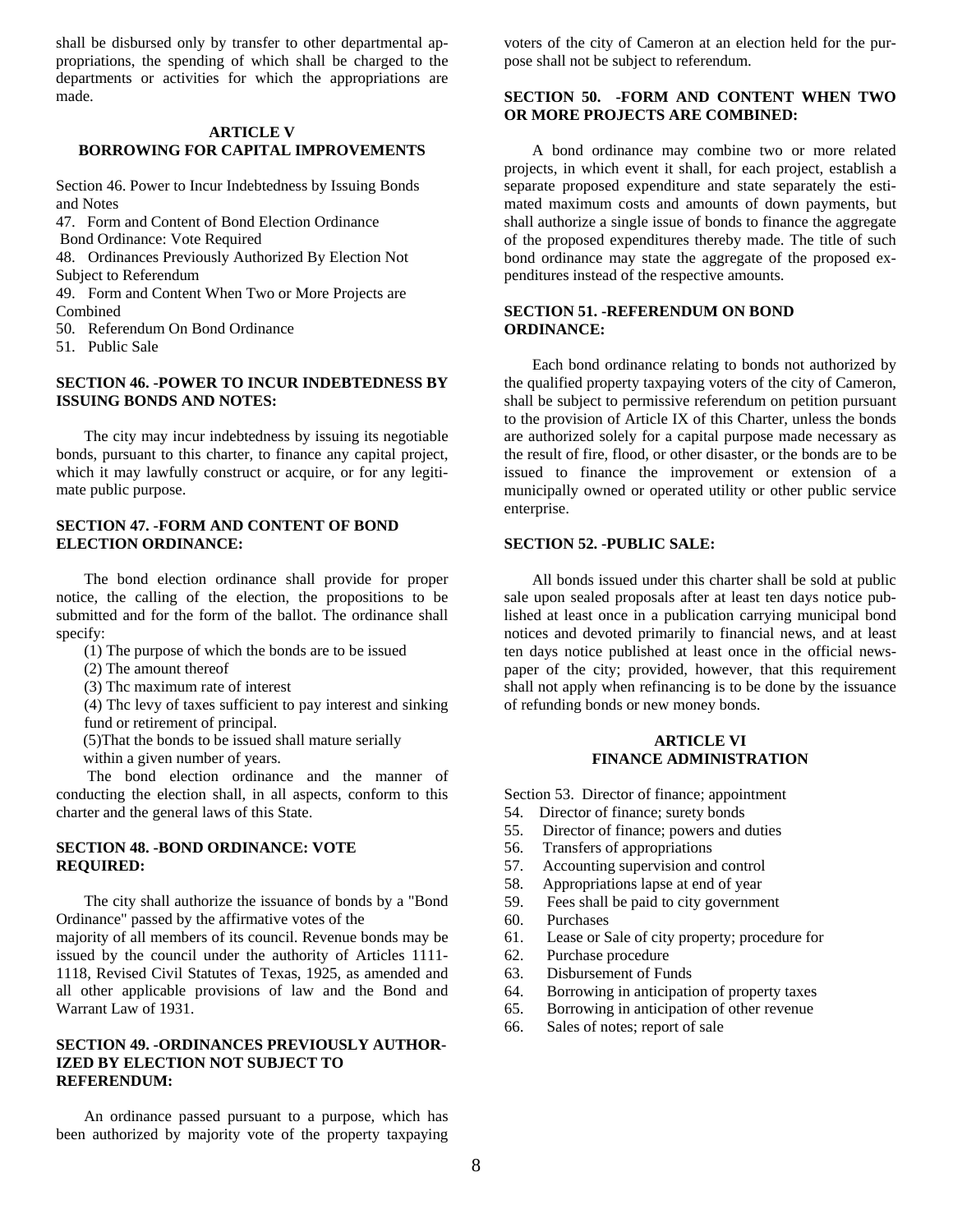shall be disbursed only by transfer to other departmental appropriations, the spending of which shall be charged to the departments or activities for which the appropriations are made.

#### **ARTICLE V BORROWING FOR CAPITAL IMPROVEMENTS**

Section 46. Power to Incur Indebtedness by Issuing Bonds and Notes

47. Form and Content of Bond Election Ordinance

Bond Ordinance: Vote Required

48. Ordinances Previously Authorized By Election Not Subject to Referendum

49. Form and Content When Two or More Projects are Combined

50. Referendum On Bond Ordinance

51. Public Sale

#### **SECTION 46. -POWER TO INCUR INDEBTEDNESS BY ISSUING BONDS AND NOTES:**

The city may incur indebtedness by issuing its negotiable bonds, pursuant to this charter, to finance any capital project, which it may lawfully construct or acquire, or for any legitimate public purpose.

#### **SECTION 47. -FORM AND CONTENT OF BOND ELECTION ORDINANCE:**

The bond election ordinance shall provide for proper notice, the calling of the election, the propositions to be submitted and for the form of the ballot. The ordinance shall specify:

- (1) The purpose of which the bonds are to be issued
- (2) The amount thereof

Warrant Law of 1931.

(3) Thc maximum rate of interest

(4) Thc levy of taxes sufficient to pay interest and sinking fund or retirement of principal.

(5)That the bonds to be issued shall mature serially

within a given number of years.

 The bond election ordinance and the manner of conducting the election shall, in all aspects, conform to this charter and the general laws of this State.

#### **SECTION 48. -BOND ORDINANCE: VOTE REQUIRED:**

The city shall authorize the issuance of bonds by a "Bond Ordinance" passed by the affirmative votes of the majority of all members of its council. Revenue bonds may be issued by the council under the authority of Articles 1111- 1118, Revised Civil Statutes of Texas, 1925, as amended and all other applicable provisions of law and the Bond and

#### **SECTION 49. -ORDINANCES PREVIOUSLY AUTHOR-IZED BY ELECTION NOT SUBJECT TO REFERENDUM:**

An ordinance passed pursuant to a purpose, which has been authorized by majority vote of the property taxpaying voters of the city of Cameron at an election held for the purpose shall not be subject to referendum.

#### **SECTION 50. -FORM AND CONTENT WHEN TWO OR MORE PROJECTS ARE COMBINED:**

A bond ordinance may combine two or more related projects, in which event it shall, for each project, establish a separate proposed expenditure and state separately the estimated maximum costs and amounts of down payments, but shall authorize a single issue of bonds to finance the aggregate of the proposed expenditures thereby made. The title of such bond ordinance may state the aggregate of the proposed expenditures instead of the respective amounts.

#### **SECTION 51. -REFERENDUM ON BOND ORDINANCE:**

Each bond ordinance relating to bonds not authorized by the qualified property taxpaying voters of the city of Cameron, shall be subject to permissive referendum on petition pursuant to the provision of Article IX of this Charter, unless the bonds are authorized solely for a capital purpose made necessary as the result of fire, flood, or other disaster, or the bonds are to be issued to finance the improvement or extension of a municipally owned or operated utility or other public service enterprise.

#### **SECTION 52. -PUBLIC SALE:**

All bonds issued under this charter shall be sold at public sale upon sealed proposals after at least ten days notice published at least once in a publication carrying municipal bond notices and devoted primarily to financial news, and at least ten days notice published at least once in the official newspaper of the city; provided, however, that this requirement shall not apply when refinancing is to be done by the issuance of refunding bonds or new money bonds.

#### **ARTICLE VI FINANCE ADMINISTRATION**

Section 53. Director of finance; appointment

- 54. Director of finance; surety bonds
- 55. Director of finance; powers and duties
- 56. Transfers of appropriations
- 57. Accounting supervision and control
- 58. Appropriations lapse at end of year
- 59. Fees shall be paid to city government
- 60. Purchases
- 61. Lease or Sale of city property; procedure for
- 62. Purchase procedure
- 63. Disbursement of Funds
- 64. Borrowing in anticipation of property taxes
- 65. Borrowing in anticipation of other revenue
- 66. Sales of notes; report of sale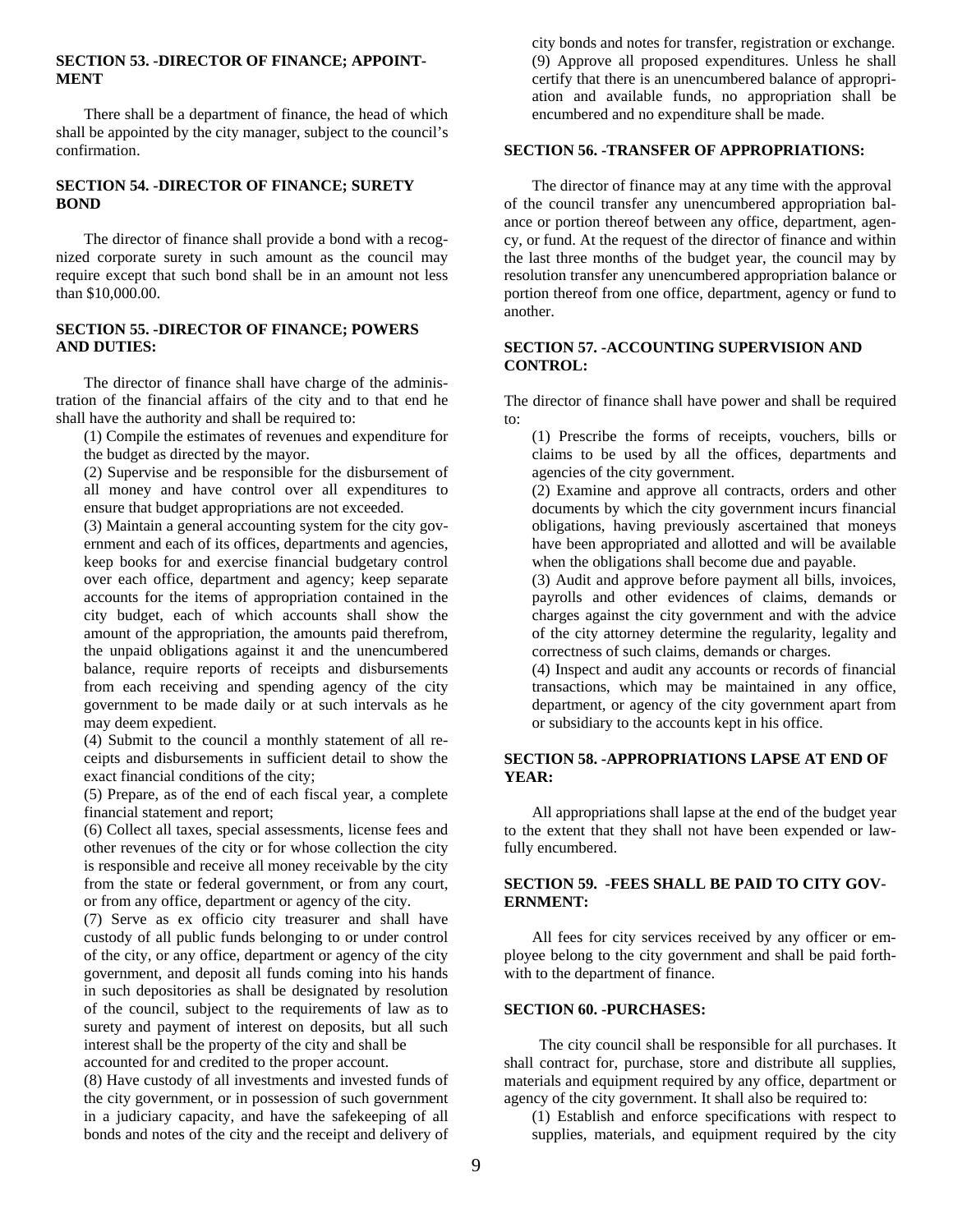#### **SECTION 53. -DIRECTOR OF FINANCE; APPOINT-MENT**

There shall be a department of finance, the head of which shall be appointed by the city manager, subject to the council's confirmation.

#### **SECTION 54. -DIRECTOR OF FINANCE; SURETY BOND**

The director of finance shall provide a bond with a recognized corporate surety in such amount as the council may require except that such bond shall be in an amount not less than \$10,000.00.

#### **SECTION 55. -DIRECTOR OF FINANCE; POWERS AND DUTIES:**

The director of finance shall have charge of the administration of the financial affairs of the city and to that end he shall have the authority and shall be required to:

(1) Compile the estimates of revenues and expenditure for the budget as directed by the mayor.

(2) Supervise and be responsible for the disbursement of all money and have control over all expenditures to ensure that budget appropriations are not exceeded.

(3) Maintain a general accounting system for the city government and each of its offices, departments and agencies, keep books for and exercise financial budgetary control over each office, department and agency; keep separate accounts for the items of appropriation contained in the city budget, each of which accounts shall show the amount of the appropriation, the amounts paid therefrom, the unpaid obligations against it and the unencumbered balance, require reports of receipts and disbursements from each receiving and spending agency of the city government to be made daily or at such intervals as he may deem expedient.

(4) Submit to the council a monthly statement of all receipts and disbursements in sufficient detail to show the exact financial conditions of the city;

(5) Prepare, as of the end of each fiscal year, a complete financial statement and report;

(6) Collect all taxes, special assessments, license fees and other revenues of the city or for whose collection the city is responsible and receive all money receivable by the city from the state or federal government, or from any court, or from any office, department or agency of the city.

(7) Serve as ex officio city treasurer and shall have custody of all public funds belonging to or under control of the city, or any office, department or agency of the city government, and deposit all funds coming into his hands in such depositories as shall be designated by resolution of the council, subject to the requirements of law as to surety and payment of interest on deposits, but all such interest shall be the property of the city and shall be accounted for and credited to the proper account.

(8) Have custody of all investments and invested funds of the city government, or in possession of such government in a judiciary capacity, and have the safekeeping of all bonds and notes of the city and the receipt and delivery of

city bonds and notes for transfer, registration or exchange. (9) Approve all proposed expenditures. Unless he shall certify that there is an unencumbered balance of appropriation and available funds, no appropriation shall be encumbered and no expenditure shall be made.

#### **SECTION 56. -TRANSFER OF APPROPRIATIONS:**

The director of finance may at any time with the approval of the council transfer any unencumbered appropriation balance or portion thereof between any office, department, agency, or fund. At the request of the director of finance and within the last three months of the budget year, the council may by resolution transfer any unencumbered appropriation balance or portion thereof from one office, department, agency or fund to another.

#### **SECTION 57. -ACCOUNTING SUPERVISION AND CONTROL:**

The director of finance shall have power and shall be required to:

(1) Prescribe the forms of receipts, vouchers, bills or claims to be used by all the offices, departments and agencies of the city government.

(2) Examine and approve all contracts, orders and other documents by which the city government incurs financial obligations, having previously ascertained that moneys have been appropriated and allotted and will be available when the obligations shall become due and payable.

(3) Audit and approve before payment all bills, invoices, payrolls and other evidences of claims, demands or charges against the city government and with the advice of the city attorney determine the regularity, legality and correctness of such claims, demands or charges.

(4) Inspect and audit any accounts or records of financial transactions, which may be maintained in any office, department, or agency of the city government apart from or subsidiary to the accounts kept in his office.

#### **SECTION 58. -APPROPRIATIONS LAPSE AT END OF YEAR:**

All appropriations shall lapse at the end of the budget year to the extent that they shall not have been expended or lawfully encumbered.

#### **SECTION 59. -FEES SHALL BE PAID TO CITY GOV-ERNMENT:**

All fees for city services received by any officer or employee belong to the city government and shall be paid forthwith to the department of finance.

#### **SECTION 60. -PURCHASES:**

The city council shall be responsible for all purchases. It shall contract for, purchase, store and distribute all supplies, materials and equipment required by any office, department or agency of the city government. It shall also be required to:

(1) Establish and enforce specifications with respect to supplies, materials, and equipment required by the city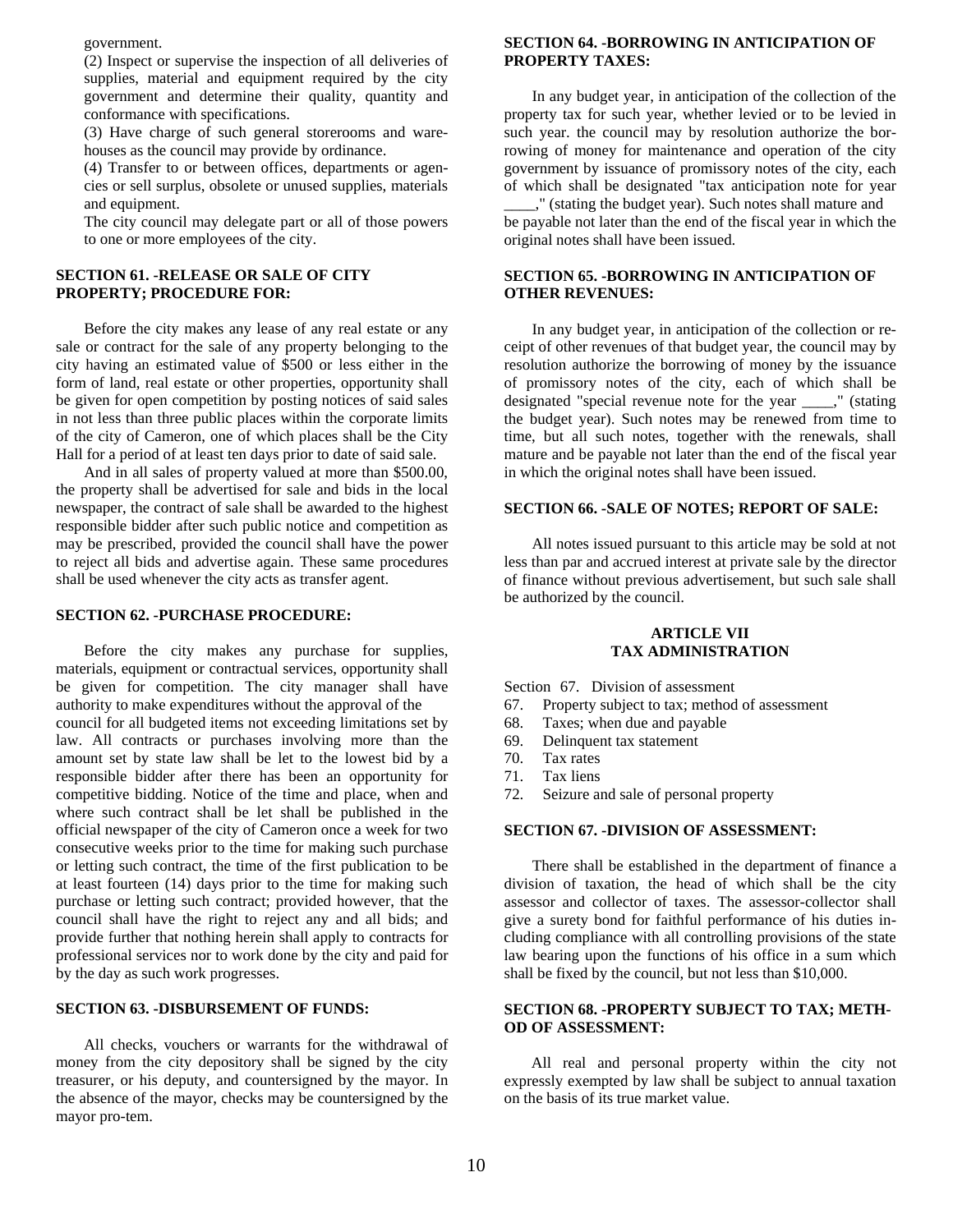government.

(2) Inspect or supervise the inspection of all deliveries of supplies, material and equipment required by the city government and determine their quality, quantity and conformance with specifications.

(3) Have charge of such general storerooms and warehouses as the council may provide by ordinance.

(4) Transfer to or between offices, departments or agencies or sell surplus, obsolete or unused supplies, materials and equipment.

The city council may delegate part or all of those powers to one or more employees of the city.

#### **SECTION 61. -RELEASE OR SALE OF CITY PROPERTY; PROCEDURE FOR:**

Before the city makes any lease of any real estate or any sale or contract for the sale of any property belonging to the city having an estimated value of \$500 or less either in the form of land, real estate or other properties, opportunity shall be given for open competition by posting notices of said sales in not less than three public places within the corporate limits of the city of Cameron, one of which places shall be the City Hall for a period of at least ten days prior to date of said sale.

And in all sales of property valued at more than \$500.00, the property shall be advertised for sale and bids in the local newspaper, the contract of sale shall be awarded to the highest responsible bidder after such public notice and competition as may be prescribed, provided the council shall have the power to reject all bids and advertise again. These same procedures shall be used whenever the city acts as transfer agent.

#### **SECTION 62. -PURCHASE PROCEDURE:**

Before the city makes any purchase for supplies, materials, equipment or contractual services, opportunity shall be given for competition. The city manager shall have authority to make expenditures without the approval of the council for all budgeted items not exceeding limitations set by law. All contracts or purchases involving more than the amount set by state law shall be let to the lowest bid by a responsible bidder after there has been an opportunity for competitive bidding. Notice of the time and place, when and where such contract shall be let shall be published in the official newspaper of the city of Cameron once a week for two consecutive weeks prior to the time for making such purchase or letting such contract, the time of the first publication to be at least fourteen (14) days prior to the time for making such purchase or letting such contract; provided however, that the council shall have the right to reject any and all bids; and provide further that nothing herein shall apply to contracts for professional services nor to work done by the city and paid for by the day as such work progresses.

#### **SECTION 63. -DISBURSEMENT OF FUNDS:**

All checks, vouchers or warrants for the withdrawal of money from the city depository shall be signed by the city treasurer, or his deputy, and countersigned by the mayor. In the absence of the mayor, checks may be countersigned by the mayor pro-tem.

#### **SECTION 64. -BORROWING IN ANTICIPATION OF PROPERTY TAXES:**

In any budget year, in anticipation of the collection of the property tax for such year, whether levied or to be levied in such year. the council may by resolution authorize the borrowing of money for maintenance and operation of the city government by issuance of promissory notes of the city, each of which shall be designated "tax anticipation note for year

\_\_\_\_," (stating the budget year). Such notes shall mature and be payable not later than the end of the fiscal year in which the original notes shall have been issued.

#### **SECTION 65. -BORROWING IN ANTICIPATION OF OTHER REVENUES:**

In any budget year, in anticipation of the collection or receipt of other revenues of that budget year, the council may by resolution authorize the borrowing of money by the issuance of promissory notes of the city, each of which shall be designated "special revenue note for the year \_\_\_\_," (stating the budget year). Such notes may be renewed from time to time, but all such notes, together with the renewals, shall mature and be payable not later than the end of the fiscal year in which the original notes shall have been issued.

#### **SECTION 66. -SALE OF NOTES; REPORT OF SALE:**

All notes issued pursuant to this article may be sold at not less than par and accrued interest at private sale by the director of finance without previous advertisement, but such sale shall be authorized by the council.

#### **ARTICLE VII TAX ADMINISTRATION**

Section 67. Division of assessment

- 67. Property subject to tax; method of assessment
- 68. Taxes; when due and payable
- 69. Delinquent tax statement
- 70. Tax rates
- 71. Tax liens
- 72. Seizure and sale of personal property

#### **SECTION 67. -DIVISION OF ASSESSMENT:**

There shall be established in the department of finance a division of taxation, the head of which shall be the city assessor and collector of taxes. The assessor-collector shall give a surety bond for faithful performance of his duties including compliance with all controlling provisions of the state law bearing upon the functions of his office in a sum which shall be fixed by the council, but not less than \$10,000.

#### **SECTION 68. -PROPERTY SUBJECT TO TAX; METH-OD OF ASSESSMENT:**

 All real and personal property within the city not expressly exempted by law shall be subject to annual taxation on the basis of its true market value.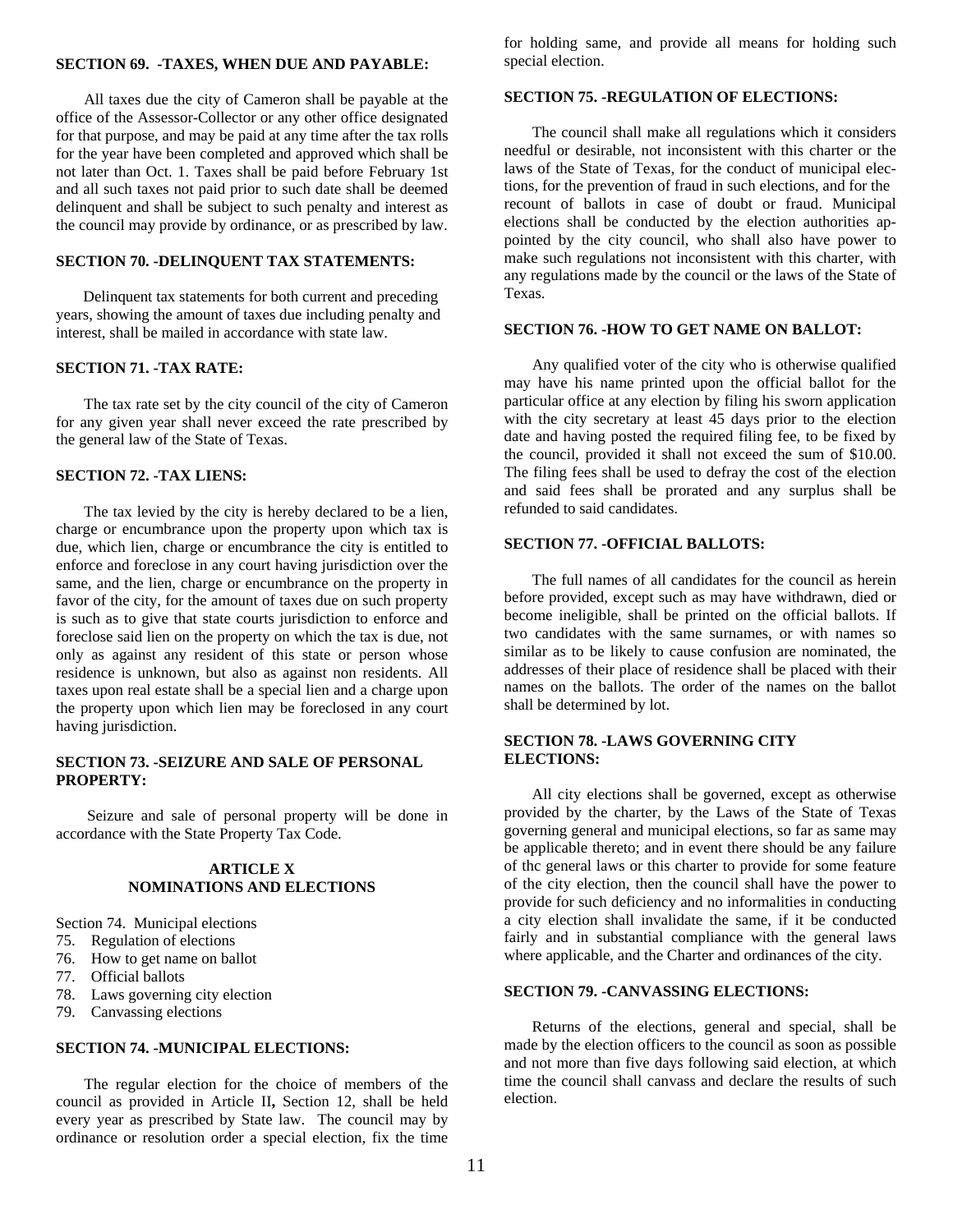#### **SECTION 69. -TAXES, WHEN DUE AND PAYABLE:**

All taxes due the city of Cameron shall be payable at the office of the Assessor-Collector or any other office designated for that purpose, and may be paid at any time after the tax rolls for the year have been completed and approved which shall be not later than Oct. 1. Taxes shall be paid before February 1st and all such taxes not paid prior to such date shall be deemed delinquent and shall be subject to such penalty and interest as the council may provide by ordinance, or as prescribed by law.

#### **SECTION 70. -DELINQUENT TAX STATEMENTS:**

Delinquent tax statements for both current and preceding years, showing the amount of taxes due including penalty and interest, shall be mailed in accordance with state law.

#### **SECTION 71. -TAX RATE:**

The tax rate set by the city council of the city of Cameron for any given year shall never exceed the rate prescribed by the general law of the State of Texas.

#### **SECTION 72. -TAX LIENS:**

The tax levied by the city is hereby declared to be a lien, charge or encumbrance upon the property upon which tax is due, which lien, charge or encumbrance the city is entitled to enforce and foreclose in any court having jurisdiction over the same, and the lien, charge or encumbrance on the property in favor of the city, for the amount of taxes due on such property is such as to give that state courts jurisdiction to enforce and foreclose said lien on the property on which the tax is due, not only as against any resident of this state or person whose residence is unknown, but also as against non residents. All taxes upon real estate shall be a special lien and a charge upon the property upon which lien may be foreclosed in any court having jurisdiction.

#### **SECTION 73. -SEIZURE AND SALE OF PERSONAL PROPERTY:**

 Seizure and sale of personal property will be done in accordance with the State Property Tax Code.

#### **ARTICLE X NOMINATIONS AND ELECTIONS**

Section 74. Municipal elections

- 75. Regulation of elections
- 76. How to get name on ballot
- 77. Official ballots
- 78. Laws governing city election
- 79. Canvassing elections

#### **SECTION 74. -MUNICIPAL ELECTIONS:**

The regular election for the choice of members of the council as provided in Article II**,** Section 12, shall be held every year as prescribed by State law. The council may by ordinance or resolution order a special election, fix the time for holding same, and provide all means for holding such special election.

#### **SECTION 75. -REGULATION OF ELECTIONS:**

The council shall make all regulations which it considers needful or desirable, not inconsistent with this charter or the laws of the State of Texas, for the conduct of municipal elections, for the prevention of fraud in such elections, and for the recount of ballots in case of doubt or fraud. Municipal elections shall be conducted by the election authorities appointed by the city council, who shall also have power to make such regulations not inconsistent with this charter, with any regulations made by the council or the laws of the State of Texas.

#### **SECTION 76. -HOW TO GET NAME ON BALLOT:**

Any qualified voter of the city who is otherwise qualified may have his name printed upon the official ballot for the particular office at any election by filing his sworn application with the city secretary at least 45 days prior to the election date and having posted the required filing fee, to be fixed by the council, provided it shall not exceed the sum of \$10.00. The filing fees shall be used to defray the cost of the election and said fees shall be prorated and any surplus shall be refunded to said candidates.

#### **SECTION 77. -OFFICIAL BALLOTS:**

The full names of all candidates for the council as herein before provided, except such as may have withdrawn, died or become ineligible, shall be printed on the official ballots. If two candidates with the same surnames, or with names so similar as to be likely to cause confusion are nominated, the addresses of their place of residence shall be placed with their names on the ballots. The order of the names on the ballot shall be determined by lot.

#### **SECTION 78. -LAWS GOVERNING CITY ELECTIONS:**

All city elections shall be governed, except as otherwise provided by the charter, by the Laws of the State of Texas governing general and municipal elections, so far as same may be applicable thereto; and in event there should be any failure of thc general laws or this charter to provide for some feature of the city election, then the council shall have the power to provide for such deficiency and no informalities in conducting a city election shall invalidate the same, if it be conducted fairly and in substantial compliance with the general laws where applicable, and the Charter and ordinances of the city.

#### **SECTION 79. -CANVASSING ELECTIONS:**

Returns of the elections, general and special, shall be made by the election officers to the council as soon as possible and not more than five days following said election, at which time the council shall canvass and declare the results of such election.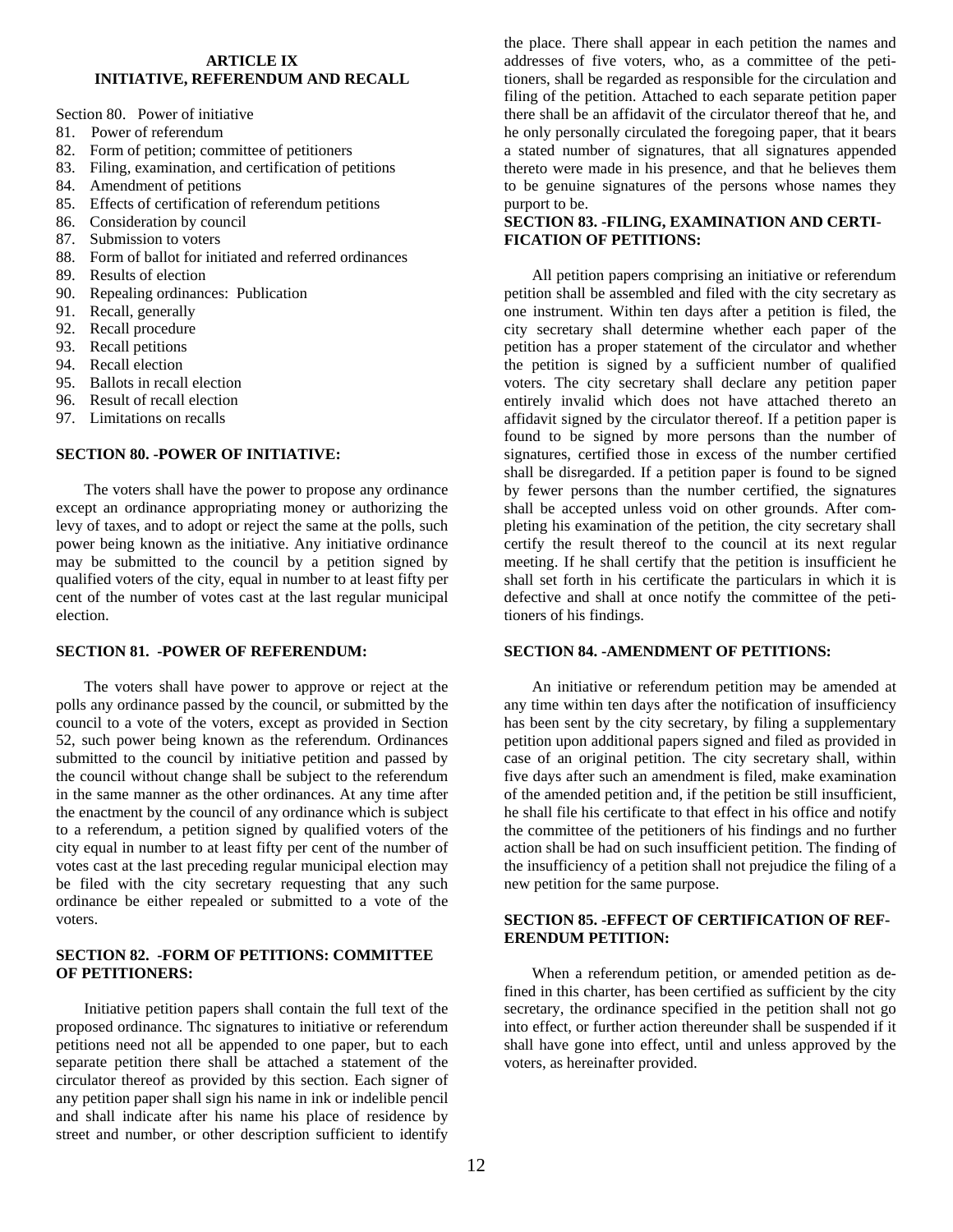#### **ARTICLE IX INITIATIVE, REFERENDUM AND RECALL**

Section 80. Power of initiative

- 81. Power of referendum
- 82. Form of petition; committee of petitioners
- 83. Filing, examination, and certification of petitions
- 84. Amendment of petitions
- 85. Effects of certification of referendum petitions
- 86. Consideration by council
- 87. Submission to voters
- 88. Form of ballot for initiated and referred ordinances
- 89. Results of election
- 90. Repealing ordinances: Publication
- 91. Recall, generally
- 92. Recall procedure
- 93. Recall petitions
- 94. Recall election
- 95. Ballots in recall election
- 96. Result of recall election
- 97. Limitations on recalls

#### **SECTION 80. -POWER OF INITIATIVE:**

The voters shall have the power to propose any ordinance except an ordinance appropriating money or authorizing the levy of taxes, and to adopt or reject the same at the polls, such power being known as the initiative. Any initiative ordinance may be submitted to the council by a petition signed by qualified voters of the city, equal in number to at least fifty per cent of the number of votes cast at the last regular municipal election.

#### **SECTION 81. -POWER OF REFERENDUM:**

The voters shall have power to approve or reject at the polls any ordinance passed by the council, or submitted by the council to a vote of the voters, except as provided in Section 52, such power being known as the referendum. Ordinances submitted to the council by initiative petition and passed by the council without change shall be subject to the referendum in the same manner as the other ordinances. At any time after the enactment by the council of any ordinance which is subject to a referendum, a petition signed by qualified voters of the city equal in number to at least fifty per cent of the number of votes cast at the last preceding regular municipal election may be filed with the city secretary requesting that any such ordinance be either repealed or submitted to a vote of the voters.

#### **SECTION 82. -FORM OF PETITIONS: COMMITTEE OF PETITIONERS:**

Initiative petition papers shall contain the full text of the proposed ordinance. Thc signatures to initiative or referendum petitions need not all be appended to one paper, but to each separate petition there shall be attached a statement of the circulator thereof as provided by this section. Each signer of any petition paper shall sign his name in ink or indelible pencil and shall indicate after his name his place of residence by street and number, or other description sufficient to identify

the place. There shall appear in each petition the names and addresses of five voters, who, as a committee of the petitioners, shall be regarded as responsible for the circulation and filing of the petition. Attached to each separate petition paper there shall be an affidavit of the circulator thereof that he, and he only personally circulated the foregoing paper, that it bears a stated number of signatures, that all signatures appended thereto were made in his presence, and that he believes them to be genuine signatures of the persons whose names they purport to be.

#### **SECTION 83. -FILING, EXAMINATION AND CERTI-FICATION OF PETITIONS:**

All petition papers comprising an initiative or referendum petition shall be assembled and filed with the city secretary as one instrument. Within ten days after a petition is filed, the city secretary shall determine whether each paper of the petition has a proper statement of the circulator and whether the petition is signed by a sufficient number of qualified voters. The city secretary shall declare any petition paper entirely invalid which does not have attached thereto an affidavit signed by the circulator thereof. If a petition paper is found to be signed by more persons than the number of signatures, certified those in excess of the number certified shall be disregarded. If a petition paper is found to be signed by fewer persons than the number certified, the signatures shall be accepted unless void on other grounds. After completing his examination of the petition, the city secretary shall certify the result thereof to the council at its next regular meeting. If he shall certify that the petition is insufficient he shall set forth in his certificate the particulars in which it is defective and shall at once notify the committee of the petitioners of his findings.

#### **SECTION 84. -AMENDMENT OF PETITIONS:**

An initiative or referendum petition may be amended at any time within ten days after the notification of insufficiency has been sent by the city secretary, by filing a supplementary petition upon additional papers signed and filed as provided in case of an original petition. The city secretary shall, within five days after such an amendment is filed, make examination of the amended petition and, if the petition be still insufficient, he shall file his certificate to that effect in his office and notify the committee of the petitioners of his findings and no further action shall be had on such insufficient petition. The finding of the insufficiency of a petition shall not prejudice the filing of a new petition for the same purpose.

#### **SECTION 85. -EFFECT OF CERTIFICATION OF REF-ERENDUM PETITION:**

When a referendum petition, or amended petition as defined in this charter, has been certified as sufficient by the city secretary, the ordinance specified in the petition shall not go into effect, or further action thereunder shall be suspended if it shall have gone into effect, until and unless approved by the voters, as hereinafter provided.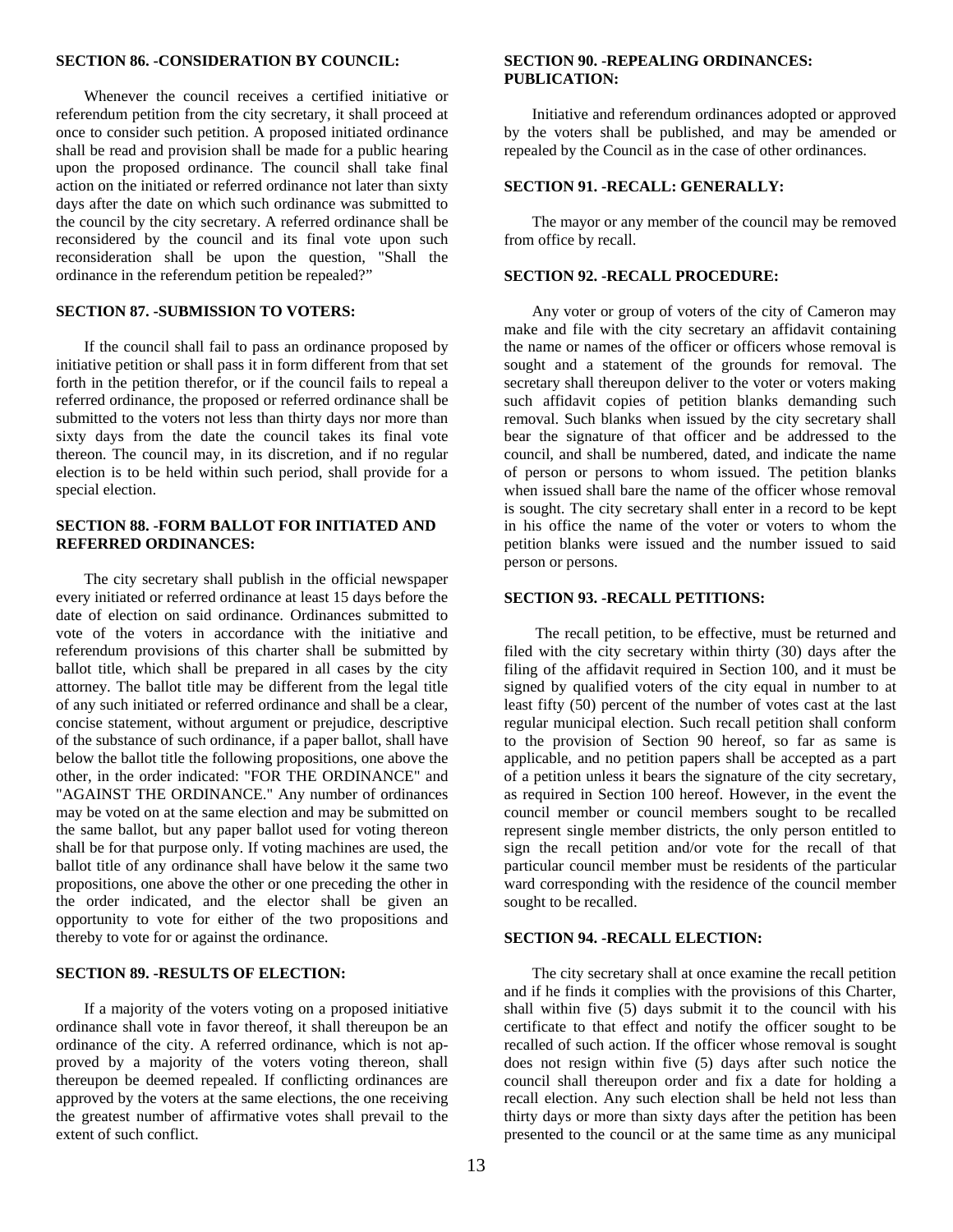#### **SECTION 86. -CONSIDERATION BY COUNCIL:**

Whenever the council receives a certified initiative or referendum petition from the city secretary, it shall proceed at once to consider such petition. A proposed initiated ordinance shall be read and provision shall be made for a public hearing upon the proposed ordinance. The council shall take final action on the initiated or referred ordinance not later than sixty days after the date on which such ordinance was submitted to the council by the city secretary. A referred ordinance shall be reconsidered by the council and its final vote upon such reconsideration shall be upon the question, "Shall the ordinance in the referendum petition be repealed?"

#### **SECTION 87. -SUBMISSION TO VOTERS:**

If the council shall fail to pass an ordinance proposed by initiative petition or shall pass it in form different from that set forth in the petition therefor, or if the council fails to repeal a referred ordinance, the proposed or referred ordinance shall be submitted to the voters not less than thirty days nor more than sixty days from the date the council takes its final vote thereon. The council may, in its discretion, and if no regular election is to be held within such period, shall provide for a special election.

#### **SECTION 88. -FORM BALLOT FOR INITIATED AND REFERRED ORDINANCES:**

The city secretary shall publish in the official newspaper every initiated or referred ordinance at least 15 days before the date of election on said ordinance. Ordinances submitted to vote of the voters in accordance with the initiative and referendum provisions of this charter shall be submitted by ballot title, which shall be prepared in all cases by the city attorney. The ballot title may be different from the legal title of any such initiated or referred ordinance and shall be a clear, concise statement, without argument or prejudice, descriptive of the substance of such ordinance, if a paper ballot, shall have below the ballot title the following propositions, one above the other, in the order indicated: "FOR THE ORDINANCE" and "AGAINST THE ORDINANCE." Any number of ordinances may be voted on at the same election and may be submitted on the same ballot, but any paper ballot used for voting thereon shall be for that purpose only. If voting machines are used, the ballot title of any ordinance shall have below it the same two propositions, one above the other or one preceding the other in the order indicated, and the elector shall be given an opportunity to vote for either of the two propositions and thereby to vote for or against the ordinance.

#### **SECTION 89. -RESULTS OF ELECTION:**

If a majority of the voters voting on a proposed initiative ordinance shall vote in favor thereof, it shall thereupon be an ordinance of the city. A referred ordinance, which is not approved by a majority of the voters voting thereon, shall thereupon be deemed repealed. If conflicting ordinances are approved by the voters at the same elections, the one receiving the greatest number of affirmative votes shall prevail to the extent of such conflict.

#### **SECTION 90. -REPEALING ORDINANCES: PUBLICATION:**

Initiative and referendum ordinances adopted or approved by the voters shall be published, and may be amended or repealed by the Council as in the case of other ordinances.

#### **SECTION 91. -RECALL: GENERALLY:**

The mayor or any member of the council may be removed from office by recall.

#### **SECTION 92. -RECALL PROCEDURE:**

Any voter or group of voters of the city of Cameron may make and file with the city secretary an affidavit containing the name or names of the officer or officers whose removal is sought and a statement of the grounds for removal. The secretary shall thereupon deliver to the voter or voters making such affidavit copies of petition blanks demanding such removal. Such blanks when issued by the city secretary shall bear the signature of that officer and be addressed to the council, and shall be numbered, dated, and indicate the name of person or persons to whom issued. The petition blanks when issued shall bare the name of the officer whose removal is sought. The city secretary shall enter in a record to be kept in his office the name of the voter or voters to whom the petition blanks were issued and the number issued to said person or persons.

#### **SECTION 93. -RECALL PETITIONS:**

 The recall petition, to be effective, must be returned and filed with the city secretary within thirty (30) days after the filing of the affidavit required in Section 100, and it must be signed by qualified voters of the city equal in number to at least fifty (50) percent of the number of votes cast at the last regular municipal election. Such recall petition shall conform to the provision of Section 90 hereof, so far as same is applicable, and no petition papers shall be accepted as a part of a petition unless it bears the signature of the city secretary, as required in Section 100 hereof. However, in the event the council member or council members sought to be recalled represent single member districts, the only person entitled to sign the recall petition and/or vote for the recall of that particular council member must be residents of the particular ward corresponding with the residence of the council member sought to be recalled.

#### **SECTION 94. -RECALL ELECTION:**

The city secretary shall at once examine the recall petition and if he finds it complies with the provisions of this Charter, shall within five (5) days submit it to the council with his certificate to that effect and notify the officer sought to be recalled of such action. If the officer whose removal is sought does not resign within five (5) days after such notice the council shall thereupon order and fix a date for holding a recall election. Any such election shall be held not less than thirty days or more than sixty days after the petition has been presented to the council or at the same time as any municipal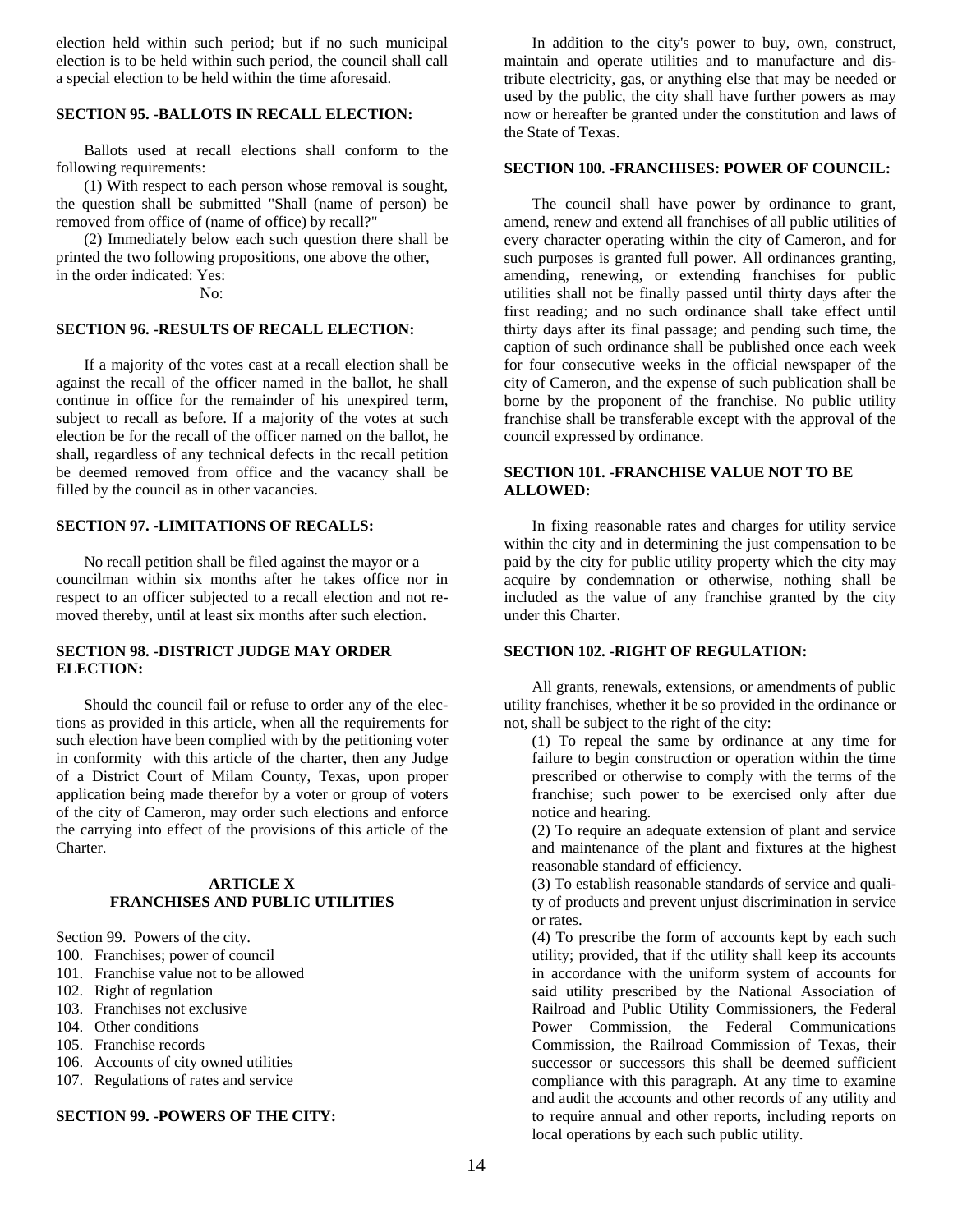election held within such period; but if no such municipal election is to be held within such period, the council shall call a special election to be held within the time aforesaid.

#### **SECTION 95. -BALLOTS IN RECALL ELECTION:**

Ballots used at recall elections shall conform to the following requirements:

(1) With respect to each person whose removal is sought, the question shall be submitted "Shall (name of person) be removed from office of (name of office) by recall?"

(2) Immediately below each such question there shall be printed the two following propositions, one above the other, in the order indicated: Yes:

No:

#### **SECTION 96. -RESULTS OF RECALL ELECTION:**

If a majority of thc votes cast at a recall election shall be against the recall of the officer named in the ballot, he shall continue in office for the remainder of his unexpired term, subject to recall as before. If a majority of the votes at such election be for the recall of the officer named on the ballot, he shall, regardless of any technical defects in thc recall petition be deemed removed from office and the vacancy shall be filled by the council as in other vacancies.

#### **SECTION 97. -LIMITATIONS OF RECALLS:**

No recall petition shall be filed against the mayor or a councilman within six months after he takes office nor in respect to an officer subjected to a recall election and not removed thereby, until at least six months after such election.

#### **SECTION 98. -DISTRICT JUDGE MAY ORDER ELECTION:**

Should thc council fail or refuse to order any of the elections as provided in this article, when all the requirements for such election have been complied with by the petitioning voter in conformity with this article of the charter, then any Judge of a District Court of Milam County, Texas, upon proper application being made therefor by a voter or group of voters of the city of Cameron, may order such elections and enforce the carrying into effect of the provisions of this article of the Charter.

#### **ARTICLE X FRANCHISES AND PUBLIC UTILITIES**

Section 99. Powers of the city.

- 100. Franchises; power of council
- 101. Franchise value not to be allowed
- 102. Right of regulation
- 103. Franchises not exclusive
- 104. Other conditions
- 105. Franchise records
- 106. Accounts of city owned utilities
- 107. Regulations of rates and service

#### **SECTION 99. -POWERS OF THE CITY:**

In addition to the city's power to buy, own, construct, maintain and operate utilities and to manufacture and distribute electricity, gas, or anything else that may be needed or used by the public, the city shall have further powers as may now or hereafter be granted under the constitution and laws of the State of Texas.

#### **SECTION 100. -FRANCHISES: POWER OF COUNCIL:**

The council shall have power by ordinance to grant, amend, renew and extend all franchises of all public utilities of every character operating within the city of Cameron, and for such purposes is granted full power. All ordinances granting, amending, renewing, or extending franchises for public utilities shall not be finally passed until thirty days after the first reading; and no such ordinance shall take effect until thirty days after its final passage; and pending such time, the caption of such ordinance shall be published once each week for four consecutive weeks in the official newspaper of the city of Cameron, and the expense of such publication shall be borne by the proponent of the franchise. No public utility franchise shall be transferable except with the approval of the council expressed by ordinance.

#### **SECTION 101. -FRANCHISE VALUE NOT TO BE ALLOWED:**

In fixing reasonable rates and charges for utility service within thc city and in determining the just compensation to be paid by the city for public utility property which the city may acquire by condemnation or otherwise, nothing shall be included as the value of any franchise granted by the city under this Charter.

#### **SECTION 102. -RIGHT OF REGULATION:**

All grants, renewals, extensions, or amendments of public utility franchises, whether it be so provided in the ordinance or not, shall be subject to the right of the city:

(1) To repeal the same by ordinance at any time for failure to begin construction or operation within the time prescribed or otherwise to comply with the terms of the franchise; such power to be exercised only after due notice and hearing.

(2) To require an adequate extension of plant and service and maintenance of the plant and fixtures at the highest reasonable standard of efficiency.

(3) To establish reasonable standards of service and quality of products and prevent unjust discrimination in service or rates.

(4) To prescribe the form of accounts kept by each such utility; provided, that if thc utility shall keep its accounts in accordance with the uniform system of accounts for said utility prescribed by the National Association of Railroad and Public Utility Commissioners, the Federal Power Commission, the Federal Communications Commission, the Railroad Commission of Texas, their successor or successors this shall be deemed sufficient compliance with this paragraph. At any time to examine and audit the accounts and other records of any utility and to require annual and other reports, including reports on local operations by each such public utility.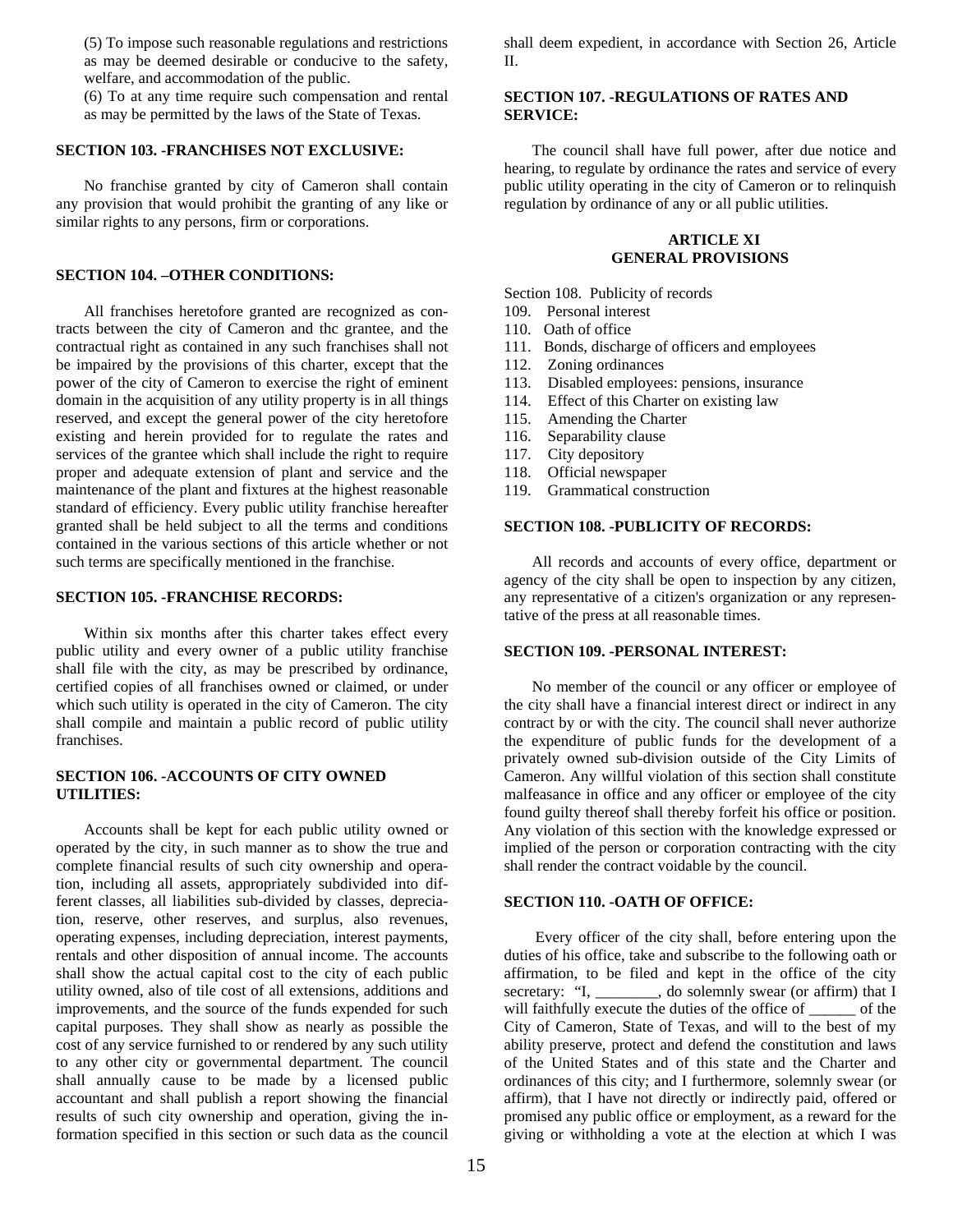(5) To impose such reasonable regulations and restrictions as may be deemed desirable or conducive to the safety, welfare, and accommodation of the public.

(6) To at any time require such compensation and rental as may be permitted by the laws of the State of Texas.

#### **SECTION 103. -FRANCHISES NOT EXCLUSIVE:**

No franchise granted by city of Cameron shall contain any provision that would prohibit the granting of any like or similar rights to any persons, firm or corporations.

#### **SECTION 104. –OTHER CONDITIONS:**

All franchises heretofore granted are recognized as contracts between the city of Cameron and thc grantee, and the contractual right as contained in any such franchises shall not be impaired by the provisions of this charter, except that the power of the city of Cameron to exercise the right of eminent domain in the acquisition of any utility property is in all things reserved, and except the general power of the city heretofore existing and herein provided for to regulate the rates and services of the grantee which shall include the right to require proper and adequate extension of plant and service and the maintenance of the plant and fixtures at the highest reasonable standard of efficiency. Every public utility franchise hereafter granted shall be held subject to all the terms and conditions contained in the various sections of this article whether or not such terms are specifically mentioned in the franchise.

#### **SECTION 105. -FRANCHISE RECORDS:**

Within six months after this charter takes effect every public utility and every owner of a public utility franchise shall file with the city, as may be prescribed by ordinance, certified copies of all franchises owned or claimed, or under which such utility is operated in the city of Cameron. The city shall compile and maintain a public record of public utility franchises.

#### **SECTION 106. -ACCOUNTS OF CITY OWNED UTILITIES:**

Accounts shall be kept for each public utility owned or operated by the city, in such manner as to show the true and complete financial results of such city ownership and operation, including all assets, appropriately subdivided into different classes, all liabilities sub-divided by classes, depreciation, reserve, other reserves, and surplus, also revenues, operating expenses, including depreciation, interest payments, rentals and other disposition of annual income. The accounts shall show the actual capital cost to the city of each public utility owned, also of tile cost of all extensions, additions and improvements, and the source of the funds expended for such capital purposes. They shall show as nearly as possible the cost of any service furnished to or rendered by any such utility to any other city or governmental department. The council shall annually cause to be made by a licensed public accountant and shall publish a report showing the financial results of such city ownership and operation, giving the information specified in this section or such data as the council

shall deem expedient, in accordance with Section 26, Article II.

#### **SECTION 107. -REGULATIONS OF RATES AND SERVICE:**

The council shall have full power, after due notice and hearing, to regulate by ordinance the rates and service of every public utility operating in the city of Cameron or to relinquish regulation by ordinance of any or all public utilities.

#### **ARTICLE XI GENERAL PROVISIONS**

Section 108. Publicity of records

- 109. Personal interest
- 110. Oath of office
- 111. Bonds, discharge of officers and employees
- 112. Zoning ordinances
- 113. Disabled employees: pensions, insurance
- 114. Effect of this Charter on existing law
- 115. Amending the Charter
- 116. Separability clause
- 117. City depository
- 118. Official newspaper
- 119. Grammatical construction

#### **SECTION 108. -PUBLICITY OF RECORDS:**

All records and accounts of every office, department or agency of the city shall be open to inspection by any citizen, any representative of a citizen's organization or any representative of the press at all reasonable times.

#### **SECTION 109. -PERSONAL INTEREST:**

No member of the council or any officer or employee of the city shall have a financial interest direct or indirect in any contract by or with the city. The council shall never authorize the expenditure of public funds for the development of a privately owned sub-division outside of the City Limits of Cameron. Any willful violation of this section shall constitute malfeasance in office and any officer or employee of the city found guilty thereof shall thereby forfeit his office or position. Any violation of this section with the knowledge expressed or implied of the person or corporation contracting with the city shall render the contract voidable by the council.

#### **SECTION 110. -OATH OF OFFICE:**

 Every officer of the city shall, before entering upon the duties of his office, take and subscribe to the following oath or affirmation, to be filed and kept in the office of the city secretary: "I, \_\_\_\_\_\_\_, do solemnly swear (or affirm) that I will faithfully execute the duties of the office of \_\_\_\_\_\_ of the City of Cameron, State of Texas, and will to the best of my ability preserve, protect and defend the constitution and laws of the United States and of this state and the Charter and ordinances of this city; and I furthermore, solemnly swear (or affirm), that I have not directly or indirectly paid, offered or promised any public office or employment, as a reward for the giving or withholding a vote at the election at which I was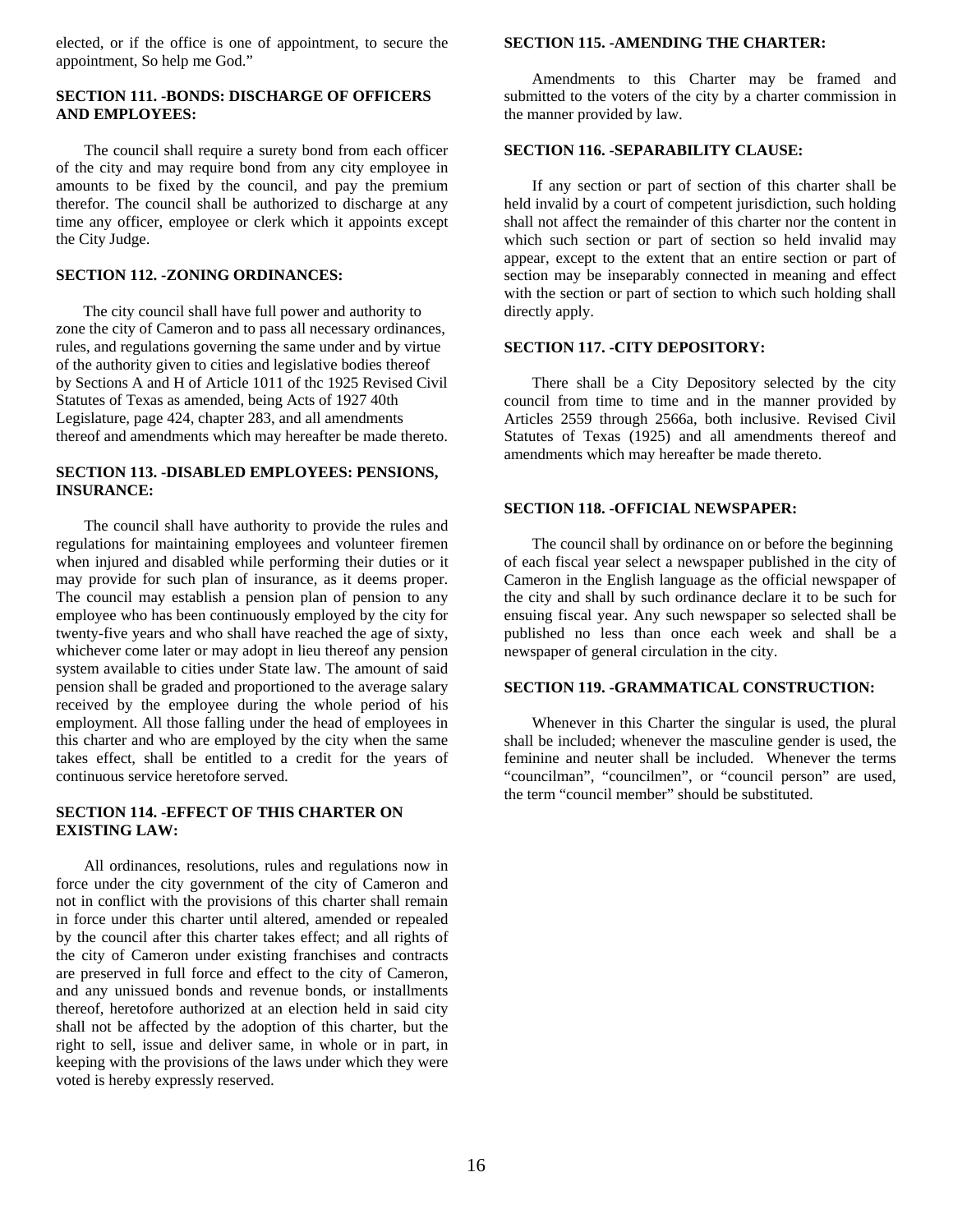elected, or if the office is one of appointment, to secure the appointment, So help me God."

#### **SECTION 111. -BONDS: DISCHARGE OF OFFICERS AND EMPLOYEES:**

The council shall require a surety bond from each officer of the city and may require bond from any city employee in amounts to be fixed by the council, and pay the premium therefor. The council shall be authorized to discharge at any time any officer, employee or clerk which it appoints except the City Judge.

#### **SECTION 112. -ZONING ORDINANCES:**

The city council shall have full power and authority to zone the city of Cameron and to pass all necessary ordinances, rules, and regulations governing the same under and by virtue of the authority given to cities and legislative bodies thereof by Sections A and H of Article 1011 of thc 1925 Revised Civil Statutes of Texas as amended, being Acts of 1927 40th Legislature, page 424, chapter 283, and all amendments thereof and amendments which may hereafter be made thereto.

#### **SECTION 113. -DISABLED EMPLOYEES: PENSIONS, INSURANCE:**

The council shall have authority to provide the rules and regulations for maintaining employees and volunteer firemen when injured and disabled while performing their duties or it may provide for such plan of insurance, as it deems proper. The council may establish a pension plan of pension to any employee who has been continuously employed by the city for twenty-five years and who shall have reached the age of sixty, whichever come later or may adopt in lieu thereof any pension system available to cities under State law. The amount of said pension shall be graded and proportioned to the average salary received by the employee during the whole period of his employment. All those falling under the head of employees in this charter and who are employed by the city when the same takes effect, shall be entitled to a credit for the years of continuous service heretofore served.

#### **SECTION 114. -EFFECT OF THIS CHARTER ON EXISTING LAW:**

All ordinances, resolutions, rules and regulations now in force under the city government of the city of Cameron and not in conflict with the provisions of this charter shall remain in force under this charter until altered, amended or repealed by the council after this charter takes effect; and all rights of the city of Cameron under existing franchises and contracts are preserved in full force and effect to the city of Cameron, and any unissued bonds and revenue bonds, or installments thereof, heretofore authorized at an election held in said city shall not be affected by the adoption of this charter, but the right to sell, issue and deliver same, in whole or in part, in keeping with the provisions of the laws under which they were voted is hereby expressly reserved.

#### **SECTION 115. -AMENDING THE CHARTER:**

Amendments to this Charter may be framed and submitted to the voters of the city by a charter commission in the manner provided by law.

## **SECTION 116. -SEPARABILITY CLAUSE:**

If any section or part of section of this charter shall be held invalid by a court of competent jurisdiction, such holding shall not affect the remainder of this charter nor the content in which such section or part of section so held invalid may appear, except to the extent that an entire section or part of section may be inseparably connected in meaning and effect with the section or part of section to which such holding shall directly apply.

## **SECTION 117. -CITY DEPOSITORY:**

There shall be a City Depository selected by the city council from time to time and in the manner provided by Articles 2559 through 2566a, both inclusive. Revised Civil Statutes of Texas (1925) and all amendments thereof and amendments which may hereafter be made thereto.

# **SECTION 118. -OFFICIAL NEWSPAPER:**

The council shall by ordinance on or before the beginning of each fiscal year select a newspaper published in the city of Cameron in the English language as the official newspaper of the city and shall by such ordinance declare it to be such for ensuing fiscal year. Any such newspaper so selected shall be published no less than once each week and shall be a newspaper of general circulation in the city.

#### **SECTION 119. -GRAMMATICAL CONSTRUCTION:**

Whenever in this Charter the singular is used, the plural shall be included; whenever the masculine gender is used, the feminine and neuter shall be included. Whenever the terms "councilman", "councilmen", or "council person" are used, the term "council member" should be substituted.